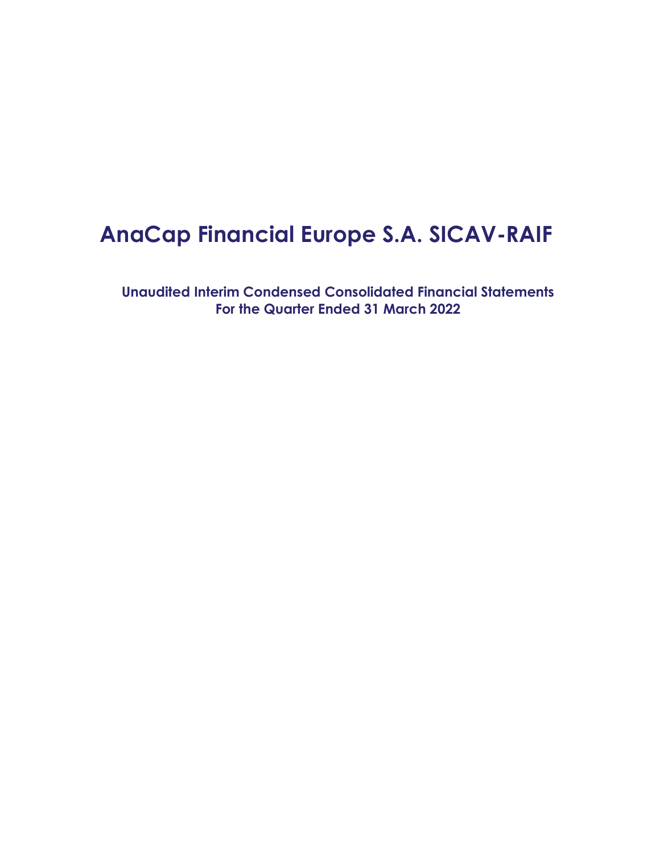# **AnaCap Financial Europe S.A. SICAV-RAIF**

**Unaudited Interim Condensed Consolidated Financial Statements For the Quarter Ended 31 March 2022**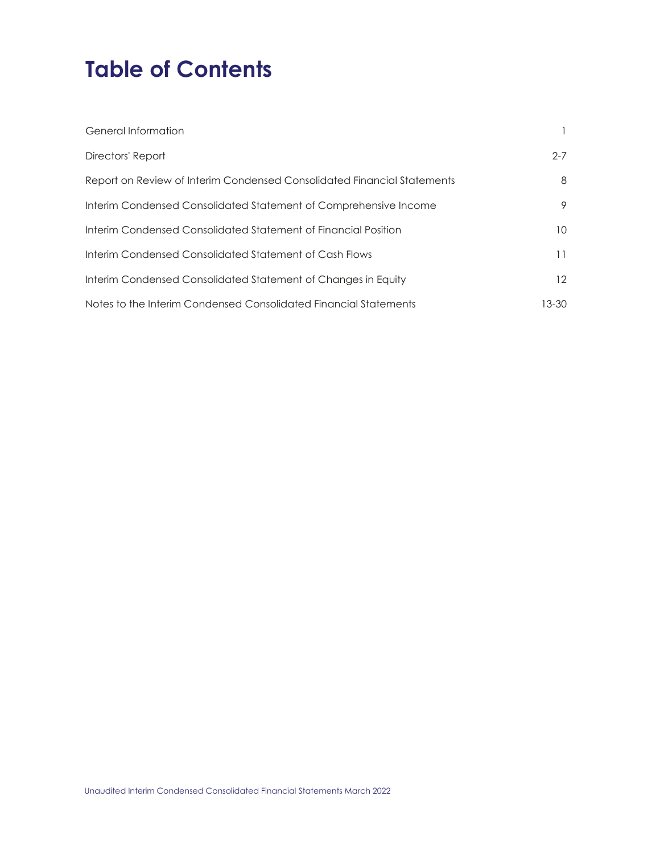# **Table of Contents**

| General Information                                                     |         |
|-------------------------------------------------------------------------|---------|
| Directors' Report                                                       | $2 - 7$ |
| Report on Review of Interim Condensed Consolidated Financial Statements | 8       |
| Interim Condensed Consolidated Statement of Comprehensive Income        | 9       |
| Interim Condensed Consolidated Statement of Financial Position          | 10      |
| Interim Condensed Consolidated Statement of Cash Flows                  | 11      |
| Interim Condensed Consolidated Statement of Changes in Equity           | 12      |
| Notes to the Interim Condensed Consolidated Financial Statements        | 13-30   |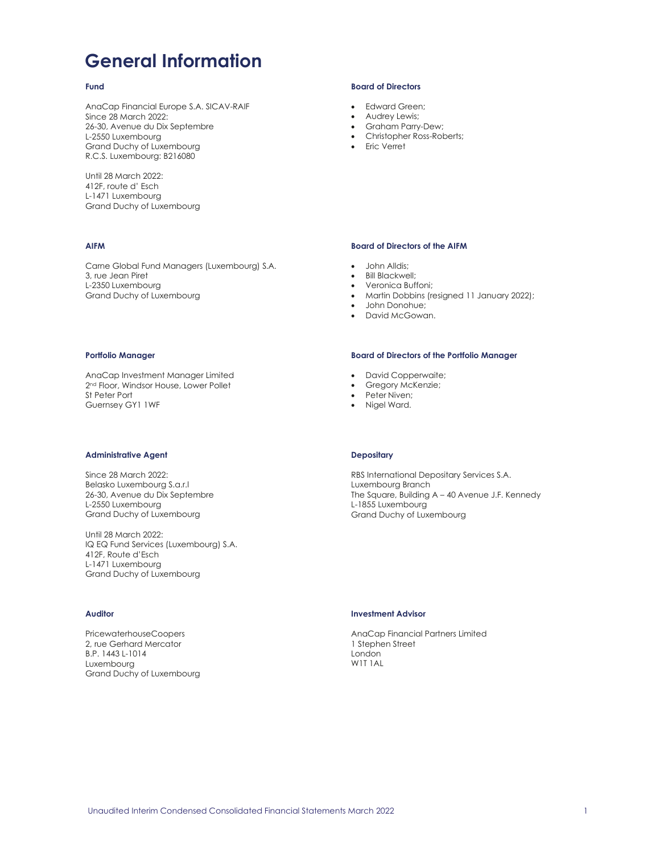# **General Information**

### **Fund**

AnaCap Financial Europe S.A. SICAV-RAIF Since 28 March 2022: 26-30, Avenue du Dix Septembre L-2550 Luxembourg Grand Duchy of Luxembourg R.C.S. Luxembourg: B216080

Until 28 March 2022: 412F, route d' Esch L-1471 Luxembourg Grand Duchy of Luxembourg

### **AIFM**

Carne Global Fund Managers (Luxembourg) S.A. 3, rue Jean Piret L-2350 Luxembourg Grand Duchy of Luxembourg

#### **Portfolio Manager**

AnaCap Investment Manager Limited 2<sup>nd</sup> Floor, Windsor House, Lower Pollet St Peter Port Guernsey GY1 1WF

#### **Administrative Agent**

Since 28 March 2022: Belasko Luxembourg S.a.r.l 26-30, Avenue du Dix Septembre L-2550 Luxembourg Grand Duchy of Luxembourg

Until 28 March 2022: IQ EQ Fund Services (Luxembourg) S.A. 412F, Route d'Esch L-1471 Luxembourg Grand Duchy of Luxembourg

### **Auditor**

PricewaterhouseCoopers 2, rue Gerhard Mercator B.P. 1443 L-1014 Luxembourg Grand Duchy of Luxembourg

### **Board of Directors**

- Edward Green;
- Audrey Lewis;
- Graham Parry-Dew;
- x Christopher Ross-Roberts;
- Eric Verret

### **Board of Directors of the AIFM**

- John Alldis:
- **Bill Blackwell;**
- Veronica Buffoni:
- Martin Dobbins (resigned 11 January 2022);
- John Donohue:
- David McGowan.

### **Board of Directors of the Portfolio Manager**

- David Copperwaite;
- Gregory McKenzie;
- Peter Niven;
- Nigel Ward.

### **Depositary**

RBS International Depositary Services S.A. Luxembourg Branch The Square, Building A – 40 Avenue J.F. Kennedy L-1855 Luxembourg Grand Duchy of Luxembourg

### **Investment Advisor**

AnaCap Financial Partners Limited 1 Stephen Street London W1T 1AL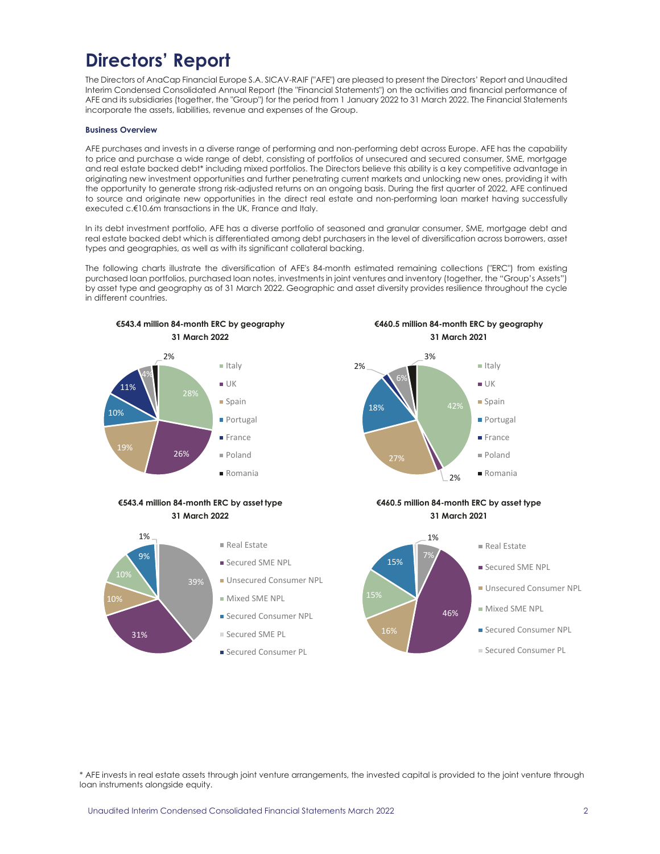# **Directors' Report**

The Directors of AnaCap Financial Europe S.A. SICAV-RAIF ("AFE") are pleased to present the Directors' Report and Unaudited Interim Condensed Consolidated Annual Report (the "Financial Statements") on the activities and financial performance of AFE and its subsidiaries (together, the "Group") for the period from 1 January 2022 to 31 March 2022. The Financial Statements incorporate the assets, liabilities, revenue and expenses of the Group.

### **Business Overview**

AFE purchases and invests in a diverse range of performing and non-performing debt across Europe. AFE has the capability to price and purchase a wide range of debt, consisting of portfolios of unsecured and secured consumer, SME, mortgage and real estate backed debt\* including mixed portfolios. The Directors believe this ability is a key competitive advantage in originating new investment opportunities and further penetrating current markets and unlocking new ones, providing it with the opportunity to generate strong risk-adjusted returns on an ongoing basis. During the first quarter of 2022, AFE continued to source and originate new opportunities in the direct real estate and non-performing loan market having successfully executed c.€10.6m transactions in the UK, France and Italy.

In its debt investment portfolio, AFE has a diverse portfolio of seasoned and granular consumer, SME, mortgage debt and real estate backed debt which is differentiated among debt purchasers in the level of diversification across borrowers, asset types and geographies, as well as with its significant collateral backing.

The following charts illustrate the diversification of AFE's 84-month estimated remaining collections ("ERC") from existing purchased loan portfolios, purchased loan notes, investments in joint ventures and inventory (together, the "Group's Assets") by asset type and geography as of 31 March 2022. Geographic and asset diversity provides resilience throughout the cycle in different countries.



\* AFE invests in real estate assets through joint venture arrangements, the invested capital is provided to the joint venture through loan instruments alongside equity.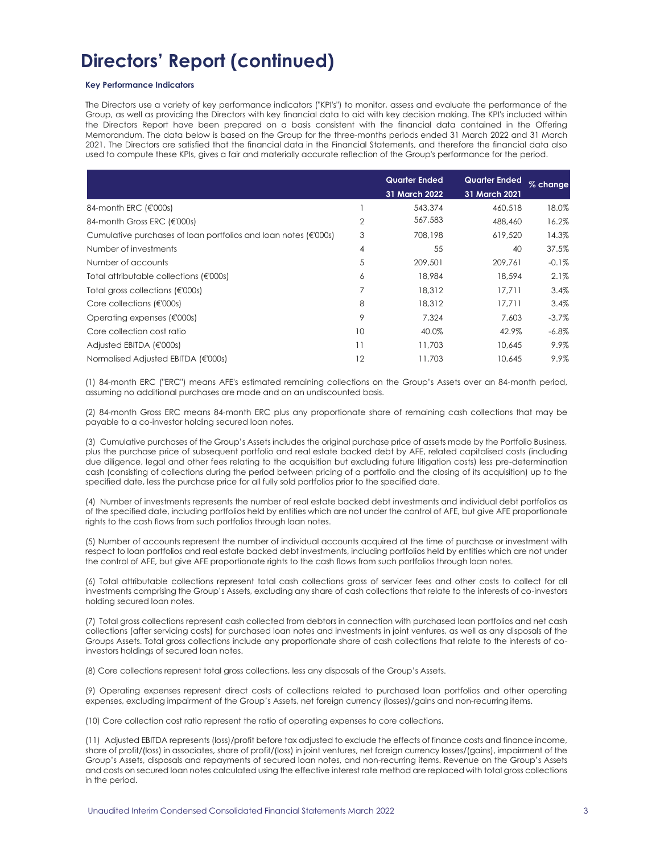### **Key Performance Indicators**

The Directors use a variety of key performance indicators ("KPI's") to monitor, assess and evaluate the performance of the Group, as well as providing the Directors with key financial data to aid with key decision making. The KPI's included within the Directors Report have been prepared on a basis consistent with the financial data contained in the Offering Memorandum. The data below is based on the Group for the three-months periods ended 31 March 2022 and 31 March 2021. The Directors are satisfied that the financial data in the Financial Statements, and therefore the financial data also used to compute these KPIs, gives a fair and materially accurate reflection of the Group's performance for the period.

|                                                                   |                | <b>Quarter Ended</b><br>31 March 2022 | <b>Quarter Ended</b><br><b>31 March 2021</b> | % change |
|-------------------------------------------------------------------|----------------|---------------------------------------|----------------------------------------------|----------|
| 84-month ERC (€'000s)                                             |                | 543,374                               | 460.518                                      | 18.0%    |
| 84-month Gross ERC (€'000s)                                       | $\overline{2}$ | 567,583                               | 488,460                                      | 16.2%    |
| Cumulative purchases of loan portfolios and loan notes $(€'000s)$ | 3              | 708,198                               | 619,520                                      | 14.3%    |
| Number of investments                                             | 4              | 55                                    | 40                                           | 37.5%    |
| Number of accounts                                                | 5              | 209,501                               | 209.761                                      | $-0.1\%$ |
| Total attributable collections (€'000s)                           | 6              | 18,984                                | 18,594                                       | 2.1%     |
| Total gross collections $(E000s)$                                 | 7              | 18,312                                | 17.711                                       | 3.4%     |
| Core collections $(\in 000s)$                                     | 8              | 18,312                                | 17.711                                       | 3.4%     |
| Operating expenses $(\in 000s)$                                   | 9              | 7.324                                 | 7.603                                        | $-3.7\%$ |
| Core collection cost ratio                                        | 10             | 40.0%                                 | 42.9%                                        | $-6.8\%$ |
| Adjusted EBITDA $(\in$ 000s)                                      | 11             | 11,703                                | 10.645                                       | 9.9%     |
| Normalised Adjusted EBITDA (€'000s)                               | 12             | 11.703                                | 10.645                                       | 9.9%     |

(1) 84-month ERC ("ERC") means AFE's estimated remaining collections on the Group's Assets over an 84-month period, assuming no additional purchases are made and on an undiscounted basis.

(2) 84-month Gross ERC means 84-month ERC plus any proportionate share of remaining cash collections that may be payable to a co-investor holding secured loan notes.

(3) Cumulative purchases of the Group's Assets includes the original purchase price of assets made by the Portfolio Business, plus the purchase price of subsequent portfolio and real estate backed debt by AFE, related capitalised costs (including due diligence, legal and other fees relating to the acquisition but excluding future litigation costs) less pre-determination cash (consisting of collections during the period between pricing of a portfolio and the closing of its acquisition) up to the specified date, less the purchase price for all fully sold portfolios prior to the specified date.

(4) Number of investments represents the number of real estate backed debt investments and individual debt portfolios as of the specified date, including portfolios held by entities which are not under the control of AFE, but give AFE proportionate rights to the cash flows from such portfolios through loan notes.

(5) Number of accounts represent the number of individual accounts acquired at the time of purchase or investment with respect to loan portfolios and real estate backed debt investments, including portfolios held by entities which are not under the control of AFE, but give AFE proportionate rights to the cash flows from such portfolios through loan notes.

(6) Total attributable collections represent total cash collections gross of servicer fees and other costs to collect for all investments comprising the Group's Assets, excluding any share of cash collections that relate to the interests of co-investors holding secured loan notes.

(7) Total gross collections represent cash collected from debtors in connection with purchased loan portfolios and net cash collections (after servicing costs) for purchased loan notes and investments in joint ventures, as well as any disposals of the Groups Assets. Total gross collections include any proportionate share of cash collections that relate to the interests of coinvestors holdings of secured loan notes.

(8) Core collections represent total gross collections, less any disposals of the Group's Assets.

(9) Operating expenses represent direct costs of collections related to purchased loan portfolios and other operating expenses, excluding impairment of the Group's Assets, net foreign currency (losses)/gains and non-recurring items.

(10) Core collection cost ratio represent the ratio of operating expenses to core collections.

(11) Adjusted EBITDA represents (loss)/profit before tax adjusted to exclude the effects of finance costs and finance income, share of profit/(loss) in associates, share of profit/(loss) in joint ventures, net foreign currency losses/(gains), impairment of the Group's Assets, disposals and repayments of secured loan notes, and non-recurring items. Revenue on the Group's Assets and costs on secured loan notes calculated using the effective interest rate method are replaced with total gross collections in the period.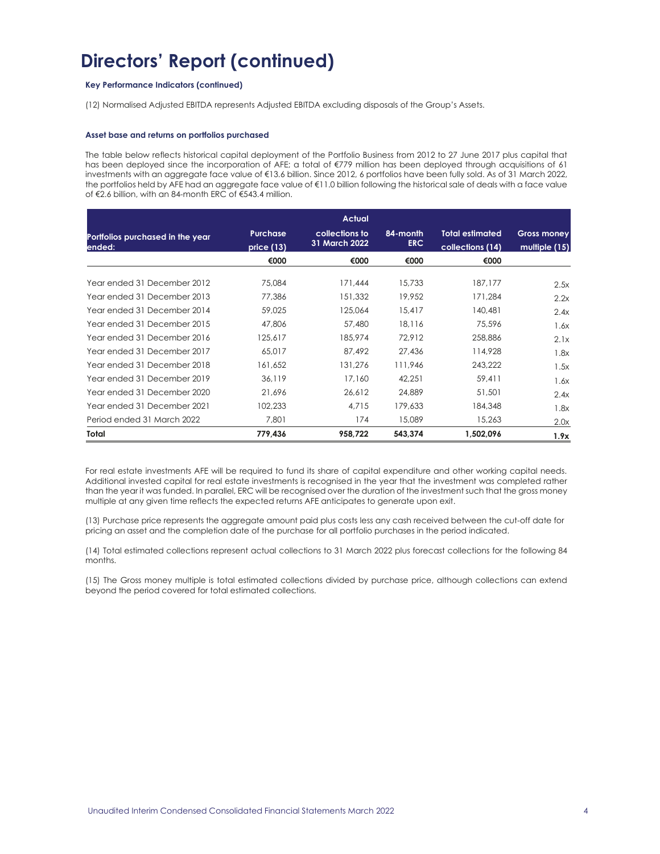### **Key Performance Indicators (continued)**

(12) Normalised Adjusted EBITDA represents Adjusted EBITDA excluding disposals of the Group's Assets.

### **Asset base and returns on portfolios purchased**

The table below reflects historical capital deployment of the Portfolio Business from 2012 to 27 June 2017 plus capital that has been deployed since the incorporation of AFE; a total of €779 million has been deployed through acquisitions of 61 investments with an aggregate face value of €13.6 billion. Since 2012, 6 portfolios have been fully sold. As of 31 March 2022, the portfolios held by AFE had an aggregate face value of €11.0 billion following the historical sale of deals with a face value of €2.6 billion, with an 84-month ERC of €543.4 million.

|                                            |                               | <b>Actual</b>                   |                  |                                            |                                     |
|--------------------------------------------|-------------------------------|---------------------------------|------------------|--------------------------------------------|-------------------------------------|
| Portfolios purchased in the year<br>ended: | <b>Purchase</b><br>price (13) | collections to<br>31 March 2022 | 84-month<br>ERC. | <b>Total estimated</b><br>collections (14) | <b>Gross money</b><br>multiple (15) |
|                                            | €000                          | €000                            | €000             | €000                                       |                                     |
| Year ended 31 December 2012                | 75,084                        | 171,444                         | 15,733           | 187,177                                    | 2.5x                                |
| Year ended 31 December 2013                | 77,386                        | 151,332                         | 19,952           | 171,284                                    | 2.2x                                |
| Year ended 31 December 2014                | 59,025                        | 125.064                         | 15.417           | 140.481                                    | 2.4x                                |
| Year ended 31 December 2015                | 47,806                        | 57.480                          | 18.116           | 75,596                                     | 1.6x                                |
| Year ended 31 December 2016                | 125,617                       | 185,974                         | 72,912           | 258,886                                    | 2.1x                                |
| Year ended 31 December 2017                | 65,017                        | 87,492                          | 27,436           | 114,928                                    | 1.8x                                |
| Year ended 31 December 2018                | 161,652                       | 131,276                         | 111.946          | 243.222                                    | 1.5x                                |
| Year ended 31 December 2019                | 36.119                        | 17.160                          | 42.251           | 59,411                                     | 1.6x                                |
| Year ended 31 December 2020                | 21.696                        | 26,612                          | 24,889           | 51,501                                     | 2.4x                                |
| Year ended 31 December 2021                | 102,233                       | 4,715                           | 179,633          | 184,348                                    | 1.8x                                |
| Period ended 31 March 2022                 | 7,801                         | 174                             | 15,089           | 15,263                                     | 2.0x                                |
| Total                                      | 779,436                       | 958,722                         | 543.374          | 1,502,096                                  | 1.9x                                |

For real estate investments AFE will be required to fund its share of capital expenditure and other working capital needs. Additional invested capital for real estate investments is recognised in the year that the investment was completed rather than the year it was funded. In parallel, ERC will be recognised over the duration of the investment such that the gross money multiple at any given time reflects the expected returns AFE anticipates to generate upon exit.

(13) Purchase price represents the aggregate amount paid plus costs less any cash received between the cut-off date for pricing an asset and the completion date of the purchase for all portfolio purchases in the period indicated.

(14) Total estimated collections represent actual collections to 31 March 2022 plus forecast collections for the following 84 months.

(15) The Gross money multiple is total estimated collections divided by purchase price, although collections can extend beyond the period covered for total estimated collections.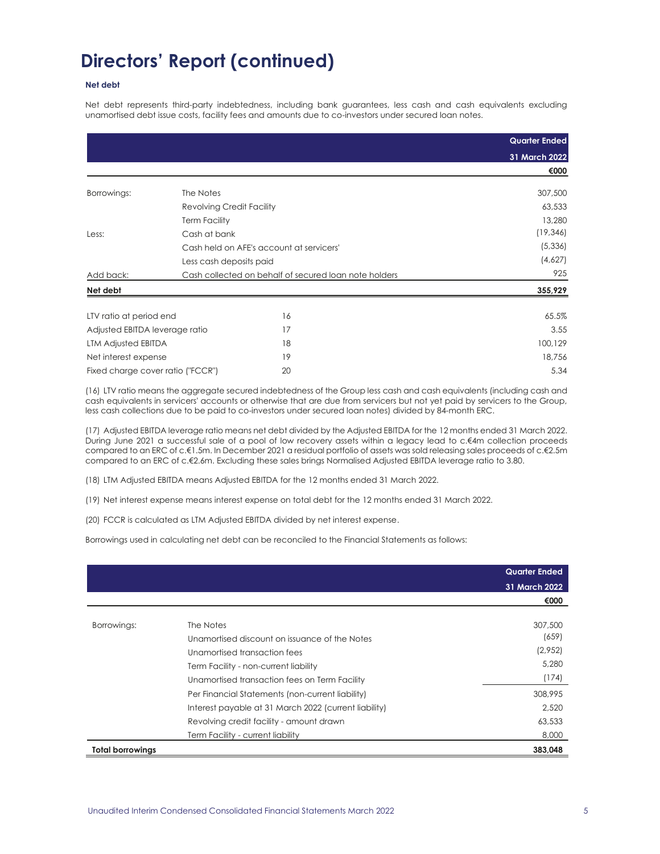### **Net debt**

Net debt represents third-party indebtedness, including bank guarantees, less cash and cash equivalents excluding unamortised debt issue costs, facility fees and amounts due to co-investors under secured loan notes.

|                                   |                                  |                                                       | <b>Quarter Ended</b> |
|-----------------------------------|----------------------------------|-------------------------------------------------------|----------------------|
|                                   |                                  |                                                       | 31 March 2022        |
|                                   |                                  |                                                       | €000                 |
| Borrowings:                       | The Notes                        |                                                       | 307,500              |
|                                   | <b>Revolving Credit Facility</b> |                                                       | 63,533               |
|                                   | <b>Term Facility</b>             |                                                       | 13,280               |
| Less:                             | Cash at bank                     |                                                       | (19, 346)            |
|                                   |                                  | Cash held on AFE's account at servicers'              | (5,336)              |
|                                   | Less cash deposits paid          |                                                       | (4,627)              |
| Add back:                         |                                  | Cash collected on behalf of secured loan note holders | 925                  |
| Net debt                          |                                  |                                                       | 355,929              |
| LTV ratio at period end           |                                  | 16                                                    | 65.5%                |
| Adjusted EBITDA leverage ratio    |                                  | 17                                                    | 3.55                 |
| LTM Adjusted EBITDA               |                                  | 18                                                    | 100,129              |
| Net interest expense              |                                  | 19                                                    | 18,756               |
| Fixed charge cover ratio ("FCCR") |                                  | 20                                                    | 5.34                 |

(16) LTV ratio means the aggregate secured indebtedness of the Group less cash and cash equivalents (including cash and cash equivalents in servicers' accounts or otherwise that are due from servicers but not yet paid by servicers to the Group, less cash collections due to be paid to co-investors under secured loan notes) divided by 84-month ERC.

(17) Adjusted EBITDA leverage ratio means net debt divided by the Adjusted EBITDA for the 12 months ended 31 March 2022. During June 2021 a successful sale of a pool of low recovery assets within a legacy lead to c.€4m collection proceeds compared to an ERC of c.€1.5m. In December 2021 a residual portfolio of assets was sold releasing sales proceeds of c.€2.5m compared to an ERC of c.€2.6m. Excluding these sales brings Normalised Adjusted EBITDA leverage ratio to 3.80.

(18) LTM Adjusted EBITDA means Adjusted EBITDA for the 12 months ended 31 March 2022.

(19) Net interest expense means interest expense on total debt for the 12 months ended 31 March 2022.

(20) FCCR is calculated as LTM Adjusted EBITDA divided by net interest expense.

Borrowings used in calculating net debt can be reconciled to the Financial Statements as follows:

|                         |                                                       | <b>Quarter Ended</b> |
|-------------------------|-------------------------------------------------------|----------------------|
|                         |                                                       | 31 March 2022        |
|                         |                                                       | €000                 |
|                         |                                                       |                      |
| Borrowings:             | The Notes                                             | 307,500              |
|                         | Unamortised discount on issuance of the Notes         | (659)                |
|                         | Unamortised transaction fees                          | (2,952)              |
|                         | Term Facility - non-current liability                 | 5,280                |
|                         | Unamortised transaction fees on Term Facility         | (174)                |
|                         | Per Financial Statements (non-current liability)      | 308,995              |
|                         | Interest payable at 31 March 2022 (current liability) | 2.520                |
|                         | Revolving credit facility - amount drawn              | 63,533               |
|                         | Term Facility - current liability                     | 8,000                |
| <b>Total borrowings</b> |                                                       | 383,048              |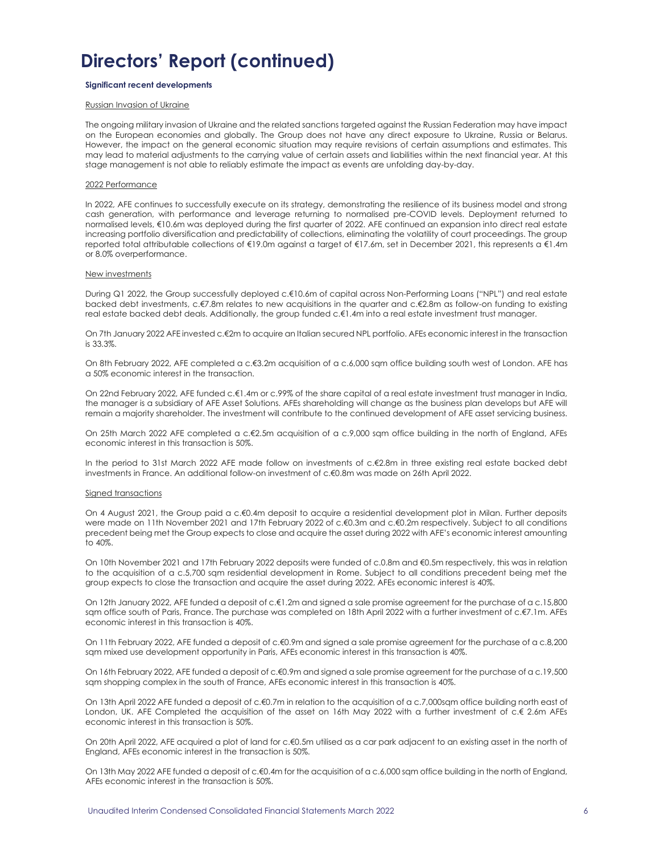### **Significant recent developments**

### Russian Invasion of Ukraine

The ongoing military invasion of Ukraine and the related sanctions targeted against the Russian Federation may have impact on the European economies and globally. The Group does not have any direct exposure to Ukraine, Russia or Belarus. However, the impact on the general economic situation may require revisions of certain assumptions and estimates. This may lead to material adjustments to the carrying value of certain assets and liabilities within the next financial year. At this stage management is not able to reliably estimate the impact as events are unfolding day-by-day.

#### 2022 Performance

In 2022, AFE continues to successfully execute on its strategy, demonstrating the resilience of its business model and strong cash generation, with performance and leverage returning to normalised pre-COVID levels. Deployment returned to normalised levels, €10.6m was deployed during the first quarter of 2022. AFE continued an expansion into direct real estate increasing portfolio diversification and predictability of collections, eliminating the volatility of court proceedings. The group reported total attributable collections of €19.0m against a target of €17.6m, set in December 2021, this represents a €1.4m or 8.0% overperformance.

#### New investments

During Q1 2022, the Group successfully deployed c.€10.6m of capital across Non-Performing Loans ("NPL") and real estate backed debt investments, c.€7.8m relates to new acquisitions in the quarter and c.€2.8m as follow-on funding to existing real estate backed debt deals. Additionally, the group funded c.€1.4m into a real estate investment trust manager.

On 7th January 2022 AFE invested c.€2m to acquire an Italian secured NPL portfolio. AFEs economic interest in the transaction is 33.3%.

On 8th February 2022, AFE completed a c.€3.2m acquisition of a c.6,000 sqm office building south west of London. AFE has a 50% economic interest in the transaction.

On 22nd February 2022, AFE funded c.€1.4m or c.99% of the share capital of a real estate investment trust manager in India, the manager is a subsidiary of AFE Asset Solutions. AFEs shareholding will change as the business plan develops but AFE will remain a majority shareholder. The investment will contribute to the continued development of AFE asset servicing business.

On 25th March 2022 AFE completed a c.€2.5m acquisition of a c.9,000 sqm office building in the north of England, AFEs economic interest in this transaction is 50%.

In the period to 31st March 2022 AFE made follow on investments of c.€2.8m in three existing real estate backed debt investments in France. An additional follow-on investment of c.€0.8m was made on 26th April 2022.

#### Signed transactions

On 4 August 2021, the Group paid a c.€0.4m deposit to acquire a residential development plot in Milan. Further deposits were made on 11th November 2021 and 17th February 2022 of c.€0.3m and c.€0.2m respectively. Subject to all conditions precedent being met the Group expects to close and acquire the asset during 2022 with AFE's economic interest amounting to 40%.

On 10th November 2021 and 17th February 2022 deposits were funded of c.0.8m and €0.5m respectively, this was in relation to the acquisition of a c.5,700 sam residential development in Rome. Subject to all conditions precedent being met the group expects to close the transaction and acquire the asset during 2022, AFEs economic interest is 40%.

On 12th January 2022, AFE funded a deposit of c.€1.2m and signed a sale promise agreement for the purchase of a c.15,800 sqm office south of Paris, France. The purchase was completed on 18th April 2022 with a further investment of c.€7.1m. AFEs economic interest in this transaction is 40%.

On 11th February 2022, AFE funded a deposit of c.€0.9m and signed a sale promise agreement for the purchase of a c.8,200 sqm mixed use development opportunity in Paris, AFEs economic interest in this transaction is 40%.

On 16th February 2022, AFE funded a deposit of c.€0.9m and signed a sale promise agreement for the purchase of a c.19,500 sqm shopping complex in the south of France, AFEs economic interest in this transaction is 40%.

On 13th April 2022 AFE funded a deposit of c.€0.7m in relation to the acquisition of a c.7,000sqm office building north east of London, UK. AFE Completed the acquisition of the asset on 16th May 2022 with a further investment of c.€ 2.6m AFEs economic interest in this transaction is 50%.

On 20th April 2022, AFE acquired a plot of land for c.€0.5m utilised as a car park adjacent to an existing asset in the north of England, AFEs economic interest in the transaction is 50%.

On 13th May 2022 AFE funded a deposit of c.€0.4m for the acquisition of a c.6,000 sqm office building in the north of England, AFEs economic interest in the transaction is 50%.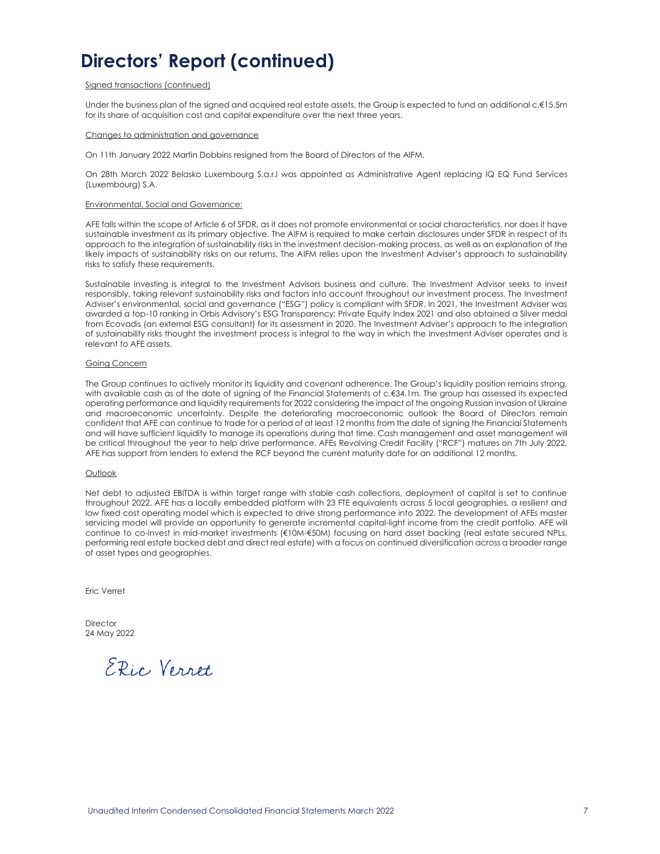### Signed transactions (continued)

Under the business plan of the signed and acquired real estate assets, the Group is expected to fund an additional c.€15.5m for its share of acquisition cost and capital expenditure over the next three years.

### Changes to administration and governance

On 11th January 2022 Martin Dobbins resigned from the Board of Directors of the AIFM.

On 28th March 2022 Belasko Luxembourg S.a.r.l was appointed as Administrative Agent replacing IQ EQ Fund Services (Luxembourg) S.A.

### Environmental, Social and Governance:

AFE falls within the scope of Article 6 of SFDR, as it does not promote environmental or social characteristics, nor does it have sustainable investment as its primary objective. The AIFM is required to make certain disclosures under SFDR in respect of its approach to the integration of sustainability risks in the investment decision-making process, as well as an explanation of the likely impacts of sustainability risks on our returns. The AIFM relies upon the Investment Adviser's approach to sustainability risks to satisfy these requirements.

Sustainable investing is integral to the Investment Advisors business and culture. The Investment Advisor seeks to invest responsibly, taking relevant sustainability risks and factors into account throughout our investment process. The Investment Adviser's environmental, social and governance ("ESG") policy is compliant with SFDR. In 2021, the Investment Adviser was awarded a top-10 ranking in Orbis Advisory's ESG Transparency: Private Equity Index 2021 and also obtained a Silver medal from Ecovadis (an external ESG consultant) for its assessment in 2020. The Investment Adviser's approach to the integration of sustainability risks thought the investment process is integral to the way in which the Investment Adviser operates and is relevant to AFE assets.

### Going Concern

The Group continues to actively monitor its liquidity and covenant adherence. The Group's liquidity position remains strong, with available cash as of the date of signing of the Financial Statements of c.€34.1m. The group has assessed its expected operating performance and liquidity requirements for 2022 considering the impact of the ongoing Russian invasion of Ukraine and macroeconomic uncertainty. Despite the deteriorating macroeconomic outlook the Board of Directors remain confident that AFE can continue to trade for a period of at least 12 months from the date of signing the Financial Statements and will have sufficient liquidity to manage its operations during that time. Cash management and asset management will be critical throughout the year to help drive performance. AFEs Revolving Credit Facility ("RCF") matures on 7th July 2022, AFE has support from lenders to extend the RCF beyond the current maturity date for an additional 12 months.

### Outlook

Net debt to adjusted EBITDA is within target range with stable cash collections, deployment of capital is set to continue throughout 2022. AFE has a locally embedded platform with 23 FTE equivalents across 5 local geographies, a resilient and low fixed cost operating model which is expected to drive strong performance into 2022. The development of AFEs master servicing model will provide an opportunity to generate incremental capital-light income from the credit portfolio. AFE will continue to co-invest in mid-market investments (€10M-€50M) focusing on hard asset backing (real estate secured NPLs, performing real estate backed debt and direct real estate) with a focus on continued diversification across a broader range of asset types and geographies.

Eric Verret

**Director** 24 May 2022

ERic Verret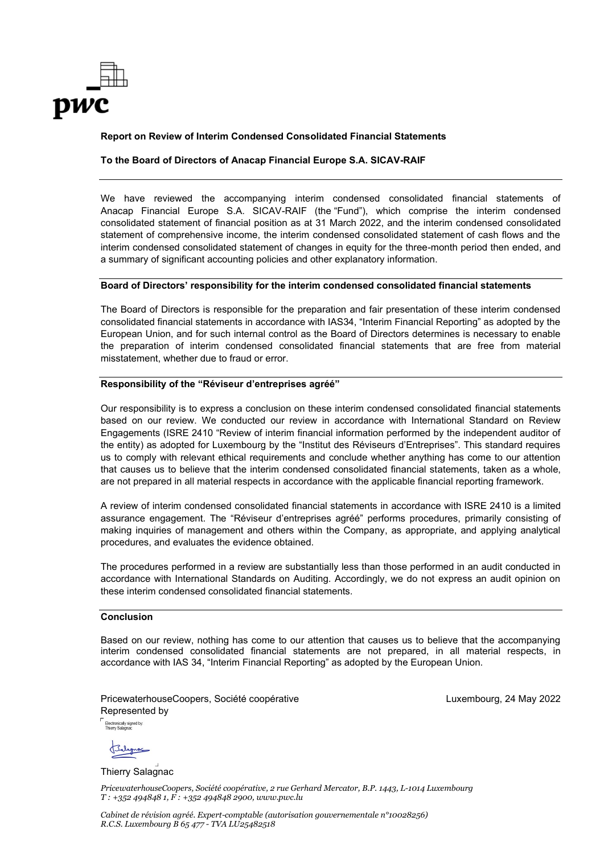

### **Report on Review of Interim Condensed Consolidated Financial Statements**

### **To the Board of Directors of Anacap Financial Europe S.A. SICAV-RAIF**

We have reviewed the accompanying interim condensed consolidated financial statements of Anacap Financial Europe S.A. SICAV-RAIF (the "Fund"), which comprise the interim condensed consolidated statement of financial position as at 31 March 2022, and the interim condensed consolidated statement of comprehensive income, the interim condensed consolidated statement of cash flows and the interim condensed consolidated statement of changes in equity for the three-month period then ended, and a summary of significant accounting policies and other explanatory information.

### **Board of Directors' responsibility for the interim condensed consolidated financial statements**

The Board of Directors is responsible for the preparation and fair presentation of these interim condensed consolidated financial statements in accordance with IAS34, "Interim Financial Reporting" as adopted by the European Union, and for such internal control as the Board of Directors determines is necessary to enable the preparation of interim condensed consolidated financial statements that are free from material misstatement, whether due to fraud or error.

### **Responsibility of the "Réviseur d'entreprises agréé"**

Our responsibility is to express a conclusion on these interim condensed consolidated financial statements based on our review. We conducted our review in accordance with International Standard on Review Engagements (ISRE 2410 "Review of interim financial information performed by the independent auditor of the entity) as adopted for Luxembourg by the "Institut des Réviseurs d'Entreprises". This standard requires us to comply with relevant ethical requirements and conclude whether anything has come to our attention that causes us to believe that the interim condensed consolidated financial statements, taken as a whole, are not prepared in all material respects in accordance with the applicable financial reporting framework.

A review of interim condensed consolidated financial statements in accordance with ISRE 2410 is a limited assurance engagement. The "Réviseur d'entreprises agréé" performs procedures, primarily consisting of making inquiries of management and others within the Company, as appropriate, and applying analytical procedures, and evaluates the evidence obtained.

The procedures performed in a review are substantially less than those performed in an audit conducted in accordance with International Standards on Auditing. Accordingly, we do not express an audit opinion on these interim condensed consolidated financial statements.

### **Conclusion**

Based on our review, nothing has come to our attention that causes us to believe that the accompanying interim condensed consolidated financial statements are not prepared, in all material respects, in accordance with IAS 34, "Interim Financial Reporting" as adopted by the European Union.

PricewaterhouseCoopers, Société coopérative Luxembourg, 24 May 2022 Represented by

Electronically signed by:<br>Thierry Salagnac

Thierry Salagnac

*PricewaterhouseCoopers, Société coopérative, 2 rue Gerhard Mercator, B.P. 1443, L-1014 Luxembourg T : +352 494848 1, F : +352 494848 2900, www.pwc.lu*

*Cabinet de révision agréé. Expert-comptable (autorisation gouvernementale n°10028256) R.C.S. Luxembourg B 65 477 - TVA LU25482518*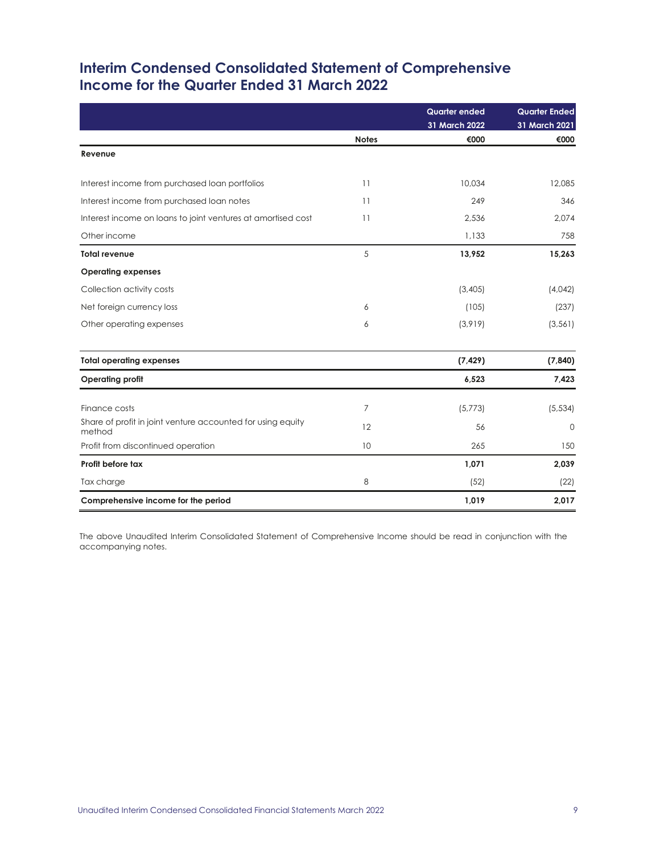### **Interim Condensed Consolidated Statement of Comprehensive Income for the Quarter Ended 31 March 2022**

|                                                                       |              | <b>Quarter ended</b><br>31 March 2022 | <b>Quarter Ended</b><br>31 March 2021 |
|-----------------------------------------------------------------------|--------------|---------------------------------------|---------------------------------------|
|                                                                       | <b>Notes</b> | €000                                  | €000                                  |
| Revenue                                                               |              |                                       |                                       |
| Interest income from purchased loan portfolios                        | 11           | 10,034                                | 12,085                                |
| Interest income from purchased loan notes                             | 11           | 249                                   | 346                                   |
| Interest income on loans to joint ventures at amortised cost          | 11           | 2,536                                 | 2,074                                 |
| Other income                                                          |              | 1,133                                 | 758                                   |
| <b>Total revenue</b>                                                  | 5            | 13,952                                | 15,263                                |
| <b>Operating expenses</b>                                             |              |                                       |                                       |
| Collection activity costs                                             |              | (3,405)                               | (4,042)                               |
| Net foreign currency loss                                             | 6            | (105)                                 | (237)                                 |
| Other operating expenses                                              | 6            | (3,919)                               | (3, 561)                              |
| <b>Total operating expenses</b>                                       |              | (7, 429)                              | (7, 840)                              |
| <b>Operating profit</b>                                               |              | 6,523                                 | 7,423                                 |
| Finance costs                                                         | 7            | (5,773)                               | (5, 534)                              |
| Share of profit in joint venture accounted for using equity<br>method | 12           | 56                                    | $\mathbf{0}$                          |
| Profit from discontinued operation                                    | 10           | 265                                   | 150                                   |
| Profit before tax                                                     |              | 1,071                                 | 2,039                                 |
| Tax charge                                                            | 8            | (52)                                  | (22)                                  |
| Comprehensive income for the period                                   |              | 1,019                                 | 2,017                                 |

The above Unaudited Interim Consolidated Statement of Comprehensive Income should be read in conjunction with the accompanying notes.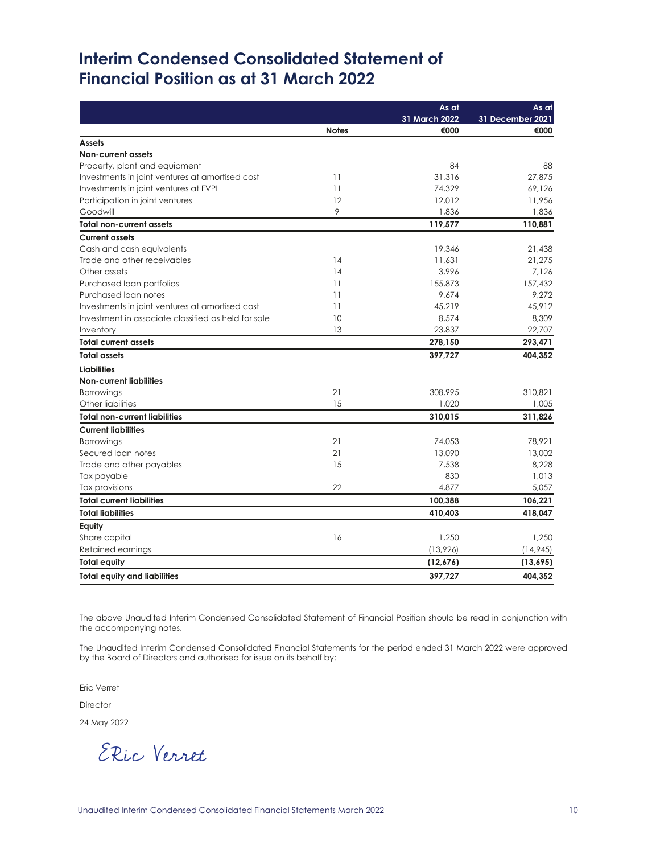# **Interim Condensed Consolidated Statement of Financial Position as at 31 March 2022**

|                                                     |              | As at         | As at            |
|-----------------------------------------------------|--------------|---------------|------------------|
|                                                     |              | 31 March 2022 | 31 December 2021 |
|                                                     | <b>Notes</b> | €000          | €000             |
| <b>Assets</b>                                       |              |               |                  |
| <b>Non-current assets</b>                           |              |               |                  |
| Property, plant and equipment                       |              | 84            | 88               |
| Investments in joint ventures at amortised cost     | 11           | 31,316        | 27,875           |
| Investments in joint ventures at FVPL               | 11           | 74,329        | 69,126           |
| Participation in joint ventures                     | 12           | 12.012        | 11,956           |
| Goodwill                                            | 9            | 1,836         | 1,836            |
| <b>Total non-current assets</b>                     |              | 119,577       | 110,881          |
| <b>Current assets</b>                               |              |               |                  |
| Cash and cash equivalents                           |              | 19,346        | 21.438           |
| Trade and other receivables                         | 14           | 11,631        | 21,275           |
| Other assets                                        | 14           | 3,996         | 7.126            |
| Purchased loan portfolios                           | 11           | 155,873       | 157.432          |
| Purchased loan notes                                | 11           | 9,674         | 9,272            |
| Investments in joint ventures at amortised cost     | 11           | 45,219        | 45,912           |
| Investment in associate classified as held for sale | 10           | 8,574         | 8,309            |
| Inventory                                           | 13           | 23,837        | 22,707           |
| <b>Total current assets</b>                         |              | 278,150       | 293,471          |
| <b>Total assets</b>                                 |              | 397,727       | 404,352          |
| <b>Liabilities</b>                                  |              |               |                  |
| <b>Non-current liabilities</b>                      |              |               |                  |
| <b>Borrowings</b>                                   | 21           | 308,995       | 310,821          |
| Other liabilities                                   | 15           | 1,020         | 1,005            |
| <b>Total non-current liabilities</b>                |              | 310,015       | 311,826          |
| <b>Current liabilities</b>                          |              |               |                  |
| <b>Borrowings</b>                                   | 21           | 74,053        | 78,921           |
| Secured loan notes                                  | 21           | 13,090        | 13,002           |
| Trade and other payables                            | 15           | 7,538         | 8,228            |
| Tax payable                                         |              | 830           | 1,013            |
| Tax provisions                                      | 22           | 4,877         | 5,057            |
| <b>Total current liabilities</b>                    |              | 100,388       | 106,221          |
| <b>Total liabilities</b>                            |              | 410,403       | 418,047          |
| Equity                                              |              |               |                  |
| Share capital                                       | 16           | 1,250         | 1,250            |
| Retained earnings                                   |              | (13,926)      | (14, 945)        |
| <b>Total equity</b>                                 |              | (12,676)      | (13,695)         |
| <b>Total equity and liabilities</b>                 |              | 397,727       | 404,352          |

The above Unaudited Interim Condensed Consolidated Statement of Financial Position should be read in conjunction with the accompanying notes.

The Unaudited Interim Condensed Consolidated Financial Statements for the period ended 31 March 2022 were approved by the Board of Directors and authorised for issue on its behalf by:

Eric Verret

Director

24 May 2022

ERic Verret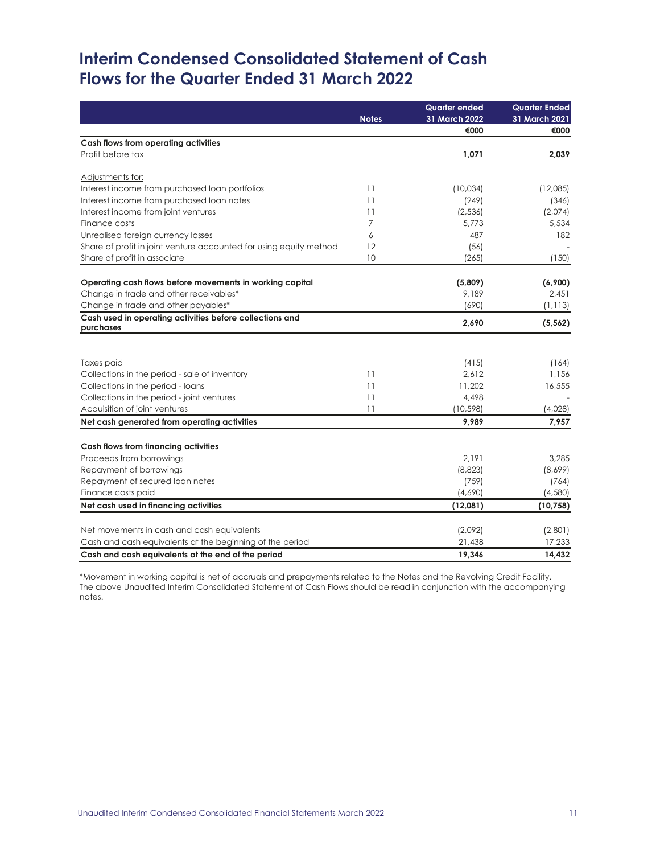# **Interim Condensed Consolidated Statement of Cash Flows for the Quarter Ended 31 March 2022**

|                                                                       | <b>Notes</b> | <b>Quarter ended</b><br>31 March 2022 | <b>Quarter Ended</b><br>31 March 2021 |
|-----------------------------------------------------------------------|--------------|---------------------------------------|---------------------------------------|
|                                                                       |              | €000                                  | €000                                  |
| Cash flows from operating activities                                  |              |                                       |                                       |
| Profit before tax                                                     |              | 1,071                                 | 2,039                                 |
| Adjustments for:                                                      |              |                                       |                                       |
| Interest income from purchased loan portfolios                        | 11           | (10,034)                              | (12,085)                              |
| Interest income from purchased loan notes                             | 11           | (249)                                 | (346)                                 |
| Interest income from joint ventures                                   | 11           | (2, 536)                              | (2,074)                               |
| Finance costs                                                         | 7            | 5.773                                 | 5,534                                 |
| Unrealised foreign currency losses                                    | 6            | 487                                   | 182                                   |
| Share of profit in joint venture accounted for using equity method    | 12           | (56)                                  |                                       |
| Share of profit in associate                                          | 10           | (265)                                 | (150)                                 |
| Operating cash flows before movements in working capital              |              | (5,809)                               | (6,900)                               |
| Change in trade and other receivables*                                |              | 9.189                                 | 2,451                                 |
| Change in trade and other payables*                                   |              | (690)                                 | (1, 113)                              |
| Cash used in operating activities before collections and<br>purchases |              | 2,690                                 | (5, 562)                              |
|                                                                       |              |                                       |                                       |
| Taxes paid                                                            |              | (415)                                 | (164)                                 |
| Collections in the period - sale of inventory                         | 11           | 2,612                                 | 1,156                                 |
| Collections in the period - loans                                     | 11           | 11,202                                | 16,555                                |
| Collections in the period - joint ventures                            | 11           | 4,498                                 |                                       |
| Acquisition of joint ventures                                         | 11           | (10, 598)                             | (4,028)                               |
| Net cash generated from operating activities                          |              | 9,989                                 | 7,957                                 |
|                                                                       |              |                                       |                                       |
| Cash flows from financing activities<br>Proceeds from borrowings      |              | 2,191                                 | 3,285                                 |
| Repayment of borrowings                                               |              | (8,823)                               | (8,699)                               |
| Repayment of secured loan notes                                       |              | (759)                                 | (764)                                 |
| Finance costs paid                                                    |              | (4,690)                               | (4,580)                               |
| Net cash used in financing activities                                 |              | (12,081)                              | (10, 758)                             |
|                                                                       |              |                                       |                                       |
| Net movements in cash and cash equivalents                            |              | (2,092)                               | (2,801)                               |
| Cash and cash equivalents at the beginning of the period              |              | 21,438                                | 17,233                                |
| Cash and cash equivalents at the end of the period                    |              | 19,346                                | 14,432                                |

\*Movement in working capital is net of accruals and prepayments related to the Notes and the Revolving Credit Facility. The above Unaudited Interim Consolidated Statement of Cash Flows should be read in conjunction with the accompanying notes.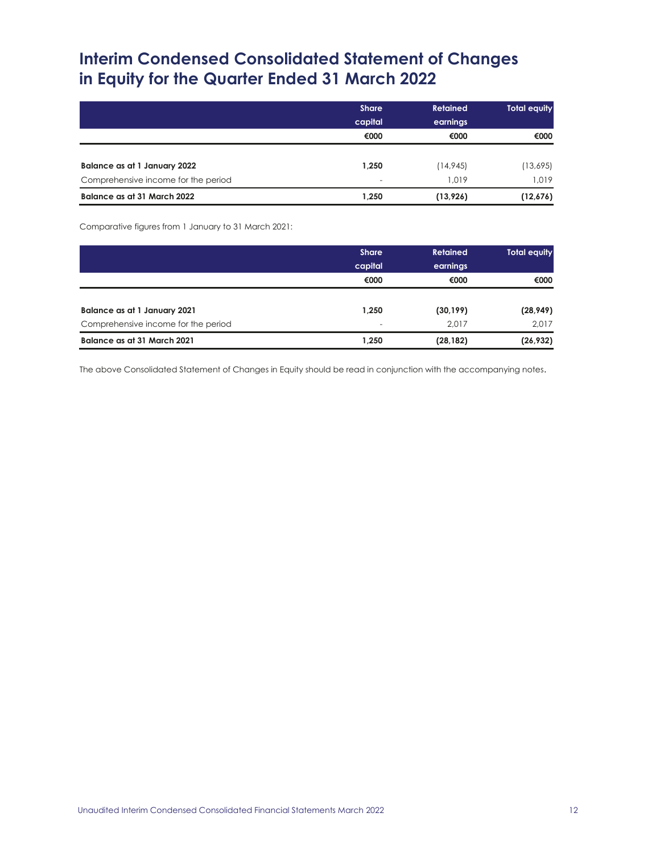# **Interim Condensed Consolidated Statement of Changes in Equity for the Quarter Ended 31 March 2022**

|                                     | <b>Share</b>             | <b>Retained</b> | Total equity |
|-------------------------------------|--------------------------|-----------------|--------------|
|                                     | capital                  | earnings        |              |
|                                     | €000                     | €000            | €000         |
| Balance as at 1 January 2022        | 1,250                    | (14, 945)       | (13,695)     |
| Comprehensive income for the period | $\overline{\phantom{0}}$ | 1.019           | 1.019        |
| Balance as at 31 March 2022         | 1,250                    | (13, 926)       | (12,676)     |

Comparative figures from 1 January to 31 March 2021:

|                                     | <b>Share</b><br>capital | <b>Retained</b><br>earnings | <b>Total equity</b> |
|-------------------------------------|-------------------------|-----------------------------|---------------------|
|                                     | €000                    | €000                        | €000                |
| Balance as at 1 January 2021        | 1,250                   | (30, 199)                   | (28, 949)           |
| Comprehensive income for the period | -                       | 2.017                       | 2,017               |
| Balance as at 31 March 2021         | 1,250                   | (28, 182)                   | (26, 932)           |

The above Consolidated Statement of Changes in Equity should be read in conjunction with the accompanying notes.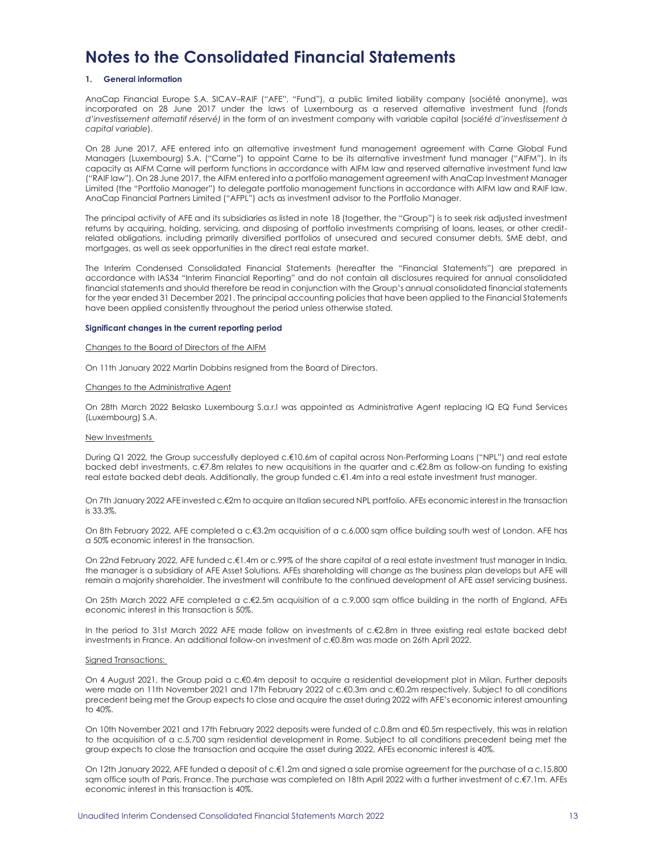## **Notes to the Consolidated Financial Statements**

### **1. General information**

AnaCap Financial Europe S.A. SICAV–RAIF ("AFE", "Fund"), a public limited liability company (société anonyme), was incorporated on 28 June 2017 under the laws of Luxembourg as a reserved alternative investment fund (*fonds d'investissement alternatif réservé)* in the form of an investment company with variable capital (*société d'investissement à capital variable*).

On 28 June 2017, AFE entered into an alternative investment fund management agreement with Carne Global Fund Managers (Luxembourg) S.A. ("Carne") to appoint Carne to be its alternative investment fund manager ("AIFM"). In its capacity as AIFM Carne will perform functions in accordance with AIFM law and reserved alternative investment fund law ("RAIF law"). On 28 June 2017, the AIFM entered into a portfolio management agreement with AnaCap Investment Manager Limited (the "Portfolio Manager") to delegate portfolio management functions in accordance with AIFM law and RAIF law. AnaCap Financial Partners Limited ("AFPL") acts as investment advisor to the Portfolio Manager.

The principal activity of AFE and its subsidiaries as listed in note 18 (together, the "Group") is to seek risk adjusted investment returns by acquiring, holding, servicing, and disposing of portfolio investments comprising of loans, leases, or other creditrelated obligations, including primarily diversified portfolios of unsecured and secured consumer debts, SME debt, and mortgages, as well as seek opportunities in the direct real estate market.

The Interim Condensed Consolidated Financial Statements (hereafter the "Financial Statements") are prepared in accordance with IAS34 "Interim Financial Reporting" and do not contain all disclosures required for annual consolidated financial statements and should therefore be read in conjunction with the Group's annual consolidated financial statements for the year ended 31 December 2021. The principal accounting policies that have been applied to the Financial Statements have been applied consistently throughout the period unless otherwise stated.

#### **Significant changes in the current reporting period**

#### Changes to the Board of Directors of the AIFM

On 11th January 2022 Martin Dobbins resigned from the Board of Directors.

### Changes to the Administrative Agent

On 28th March 2022 Belasko Luxembourg S.a.r.l was appointed as Administrative Agent replacing IQ EQ Fund Services (Luxembourg) S.A.

#### New Investments

During Q1 2022, the Group successfully deployed c.€10.6m of capital across Non-Performing Loans ("NPL") and real estate backed debt investments, c.€7.8m relates to new acquisitions in the quarter and c.€2.8m as follow-on funding to existing real estate backed debt deals. Additionally, the group funded c.€1.4m into a real estate investment trust manager.

On 7th January 2022 AFE invested c.€2m to acquire an Italian secured NPL portfolio. AFEs economic interest in the transaction is 33.3%.

On 8th February 2022, AFE completed a c.€3.2m acquisition of a c.6,000 sqm office building south west of London. AFE has a 50% economic interest in the transaction.

On 22nd February 2022, AFE funded c.€1.4m or c.99% of the share capital of a real estate investment trust manager in India, the manager is a subsidiary of AFE Asset Solutions. AFEs shareholding will change as the business plan develops but AFE will remain a majority shareholder. The investment will contribute to the continued development of AFE asset servicing business.

On 25th March 2022 AFE completed a c.€2.5m acquisition of a c.9,000 sqm office building in the north of England, AFEs economic interest in this transaction is 50%.

In the period to 31st March 2022 AFE made follow on investments of c.€2.8m in three existing real estate backed debt investments in France. An additional follow-on investment of c.€0.8m was made on 26th April 2022.

### Signed Transactions:

On 4 August 2021, the Group paid a c.€0.4m deposit to acquire a residential development plot in Milan. Further deposits were made on 11th November 2021 and 17th February 2022 of c.€0.3m and c.€0.2m respectively. Subject to all conditions precedent being met the Group expects to close and acquire the asset during 2022 with AFE's economic interest amounting to 40%.

On 10th November 2021 and 17th February 2022 deposits were funded of c.0.8m and €0.5m respectively, this was in relation to the acquisition of a c.5,700 sqm residential development in Rome. Subject to all conditions precedent being met the group expects to close the transaction and acquire the asset during 2022, AFEs economic interest is 40%.

On 12th January 2022, AFE funded a deposit of c.€1.2m and signed a sale promise agreement for the purchase of a c.15,800 sqm office south of Paris, France. The purchase was completed on 18th April 2022 with a further investment of c.€7.1m. AFEs economic interest in this transaction is 40%.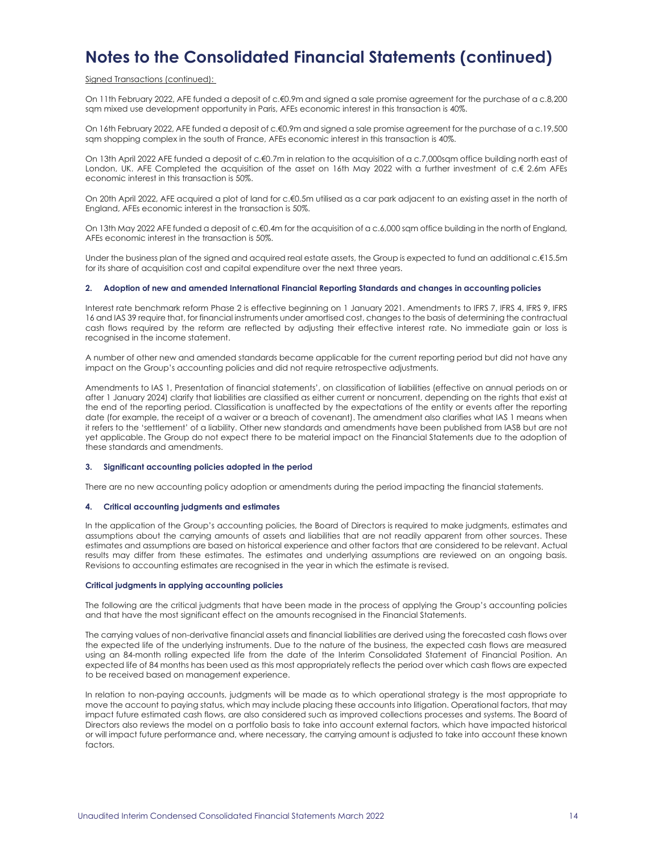### Signed Transactions (continued):

On 11th February 2022, AFE funded a deposit of c.€0.9m and signed a sale promise agreement for the purchase of a c.8,200 sqm mixed use development opportunity in Paris, AFEs economic interest in this transaction is 40%.

On 16th February 2022, AFE funded a deposit of c.€0.9m and signed a sale promise agreement for the purchase of a c.19,500 sqm shopping complex in the south of France, AFEs economic interest in this transaction is 40%.

On 13th April 2022 AFE funded a deposit of c.€0.7m in relation to the acquisition of a c.7,000sqm office building north east of London, UK. AFE Completed the acquisition of the asset on 16th May 2022 with a further investment of c.€ 2.6m AFEs economic interest in this transaction is 50%.

On 20th April 2022, AFE acquired a plot of land for c.€0.5m utilised as a car park adjacent to an existing asset in the north of England, AFEs economic interest in the transaction is 50%.

On 13th May 2022 AFE funded a deposit of c.€0.4m for the acquisition of a c.6,000 sam office building in the north of England, AFEs economic interest in the transaction is 50%.

Under the business plan of the signed and acquired real estate assets, the Group is expected to fund an additional c.€15.5m for its share of acquisition cost and capital expenditure over the next three years.

### **2. Adoption of new and amended International Financial Reporting Standards and changes in accounting policies**

Interest rate benchmark reform Phase 2 is effective beginning on 1 January 2021. Amendments to IFRS 7, IFRS 4, IFRS 9, IFRS 16 and IAS 39 require that, for financial instruments under amortised cost, changes to the basis of determining the contractual cash flows required by the reform are reflected by adjusting their effective interest rate. No immediate gain or loss is recognised in the income statement.

A number of other new and amended standards became applicable for the current reporting period but did not have any impact on the Group's accounting policies and did not require retrospective adjustments.

Amendments to IAS 1, Presentation of financial statements', on classification of liabilities (effective on annual periods on or after 1 January 2024) clarify that liabilities are classified as either current or noncurrent, depending on the rights that exist at the end of the reporting period. Classification is unaffected by the expectations of the entity or events after the reporting date (for example, the receipt of a waiver or a breach of covenant). The amendment also clarifies what IAS 1 means when it refers to the 'settlement' of a liability. Other new standards and amendments have been published from IASB but are not yet applicable. The Group do not expect there to be material impact on the Financial Statements due to the adoption of these standards and amendments.

### **3. Significant accounting policies adopted in the period**

There are no new accounting policy adoption or amendments during the period impacting the financial statements.

### **4. Critical accounting judgments and estimates**

In the application of the Group's accounting policies, the Board of Directors is required to make judgments, estimates and assumptions about the carrying amounts of assets and liabilities that are not readily apparent from other sources. These estimates and assumptions are based on historical experience and other factors that are considered to be relevant. Actual results may differ from these estimates. The estimates and underlying assumptions are reviewed on an ongoing basis. Revisions to accounting estimates are recognised in the year in which the estimate is revised.

### **Critical judgments in applying accounting policies**

The following are the critical judgments that have been made in the process of applying the Group's accounting policies and that have the most significant effect on the amounts recognised in the Financial Statements.

The carrying values of non-derivative financial assets and financial liabilities are derived using the forecasted cash flows over the expected life of the underlying instruments. Due to the nature of the business, the expected cash flows are measured using an 84-month rolling expected life from the date of the Interim Consolidated Statement of Financial Position. An expected life of 84 months has been used as this most appropriately reflects the period over which cash flows are expected to be received based on management experience.

In relation to non-paying accounts, judgments will be made as to which operational strategy is the most appropriate to move the account to paying status, which may include placing these accounts into litigation. Operational factors, that may impact future estimated cash flows, are also considered such as improved collections processes and systems. The Board of Directors also reviews the model on a portfolio basis to take into account external factors, which have impacted historical or will impact future performance and, where necessary, the carrying amount is adjusted to take into account these known factors.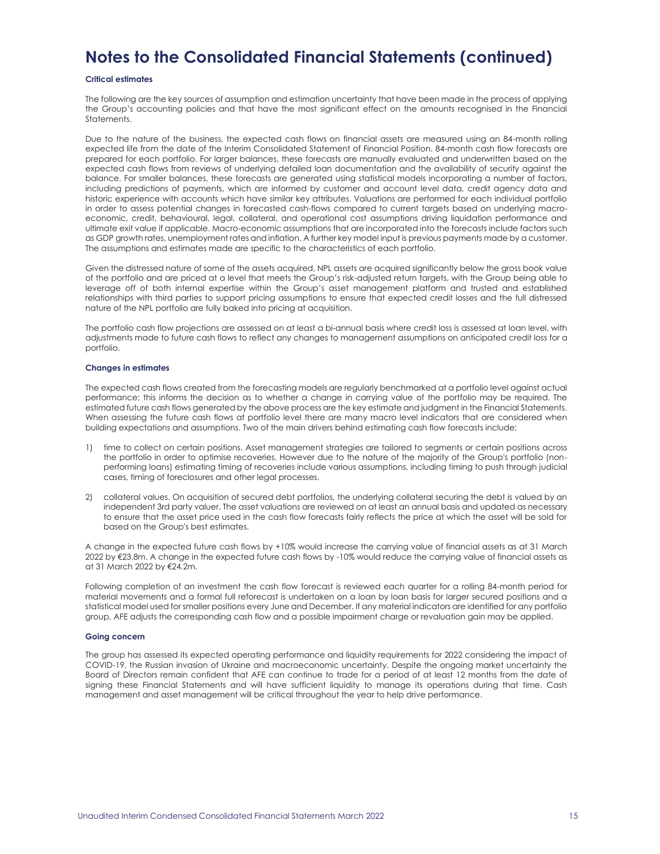#### **Critical estimates**

The following are the key sources of assumption and estimation uncertainty that have been made in the process of applying the Group's accounting policies and that have the most significant effect on the amounts recognised in the Financial Statements.

Due to the nature of the business, the expected cash flows on financial assets are measured using an 84-month rolling expected life from the date of the Interim Consolidated Statement of Financial Position. 84-month cash flow forecasts are prepared for each portfolio. For larger balances, these forecasts are manually evaluated and underwritten based on the expected cash flows from reviews of underlying detailed loan documentation and the availability of security against the balance. For smaller balances, these forecasts are generated using statistical models incorporating a number of factors, including predictions of payments, which are informed by customer and account level data, credit agency data and historic experience with accounts which have similar key attributes. Valuations are performed for each individual portfolio in order to assess potential changes in forecasted cash-flows compared to current targets based on underlying macroeconomic, credit, behavioural, legal, collateral, and operational cost assumptions driving liquidation performance and ultimate exit value if applicable. Macro-economic assumptions that are incorporated into the forecasts include factors such as GDP growth rates, unemployment rates and inflation. A further key model input is previous payments made by a customer. The assumptions and estimates made are specific to the characteristics of each portfolio.

Given the distressed nature of some of the assets acquired, NPL assets are acquired significantly below the gross book value of the portfolio and are priced at a level that meets the Group's risk-adjusted return targets, with the Group being able to leverage off of both internal expertise within the Group's asset management platform and trusted and established relationships with third parties to support pricing assumptions to ensure that expected credit losses and the full distressed nature of the NPL portfolio are fully baked into pricing at acquisition.

The portfolio cash flow projections are assessed on at least a bi-annual basis where credit loss is assessed at loan level, with adjustments made to future cash flows to reflect any changes to management assumptions on anticipated credit loss for a portfolio.

#### **Changes in estimates**

The expected cash flows created from the forecasting models are regularly benchmarked at a portfolio level against actual performance; this informs the decision as to whether a change in carrying value of the portfolio may be required. The estimated future cash flows generated by the above process are the key estimate and judgment in the Financial Statements. When assessing the future cash flows at portfolio level there are many macro level indicators that are considered when building expectations and assumptions. Two of the main drivers behind estimating cash flow forecasts include:

- 1) time to collect on certain positions. Asset management strategies are tailored to segments or certain positions across the portfolio in order to optimise recoveries. However due to the nature of the majority of the Group's portfolio (nonperforming loans) estimating timing of recoveries include various assumptions, including timing to push through judicial cases, timing of foreclosures and other legal processes.
- 2) collateral values. On acquisition of secured debt portfolios, the underlying collateral securing the debt is valued by an independent 3rd party valuer. The asset valuations are reviewed on at least an annual basis and updated as necessary to ensure that the asset price used in the cash flow forecasts fairly reflects the price at which the asset will be sold for based on the Group's best estimates.

A change in the expected future cash flows by +10% would increase the carrying value of financial assets as at 31 March 2022 by €23.8m. A change in the expected future cash flows by -10% would reduce the carrying value of financial assets as at 31 March 2022 by €24.2m.

Following completion of an investment the cash flow forecast is reviewed each quarter for a rolling 84-month period for material movements and a formal full reforecast is undertaken on a loan by loan basis for larger secured positions and a statistical model used for smaller positions every June and December. If any material indicators are identified for any portfolio group, AFE adjusts the corresponding cash flow and a possible impairment charge or revaluation gain may be applied.

#### **Going concern**

The group has assessed its expected operating performance and liquidity requirements for 2022 considering the impact of COVID-19, the Russian invasion of Ukraine and macroeconomic uncertainty. Despite the ongoing market uncertainty the Board of Directors remain confident that AFE can continue to trade for a period of at least 12 months from the date of signing these Financial Statements and will have sufficient liquidity to manage its operations during that time. Cash management and asset management will be critical throughout the year to help drive performance.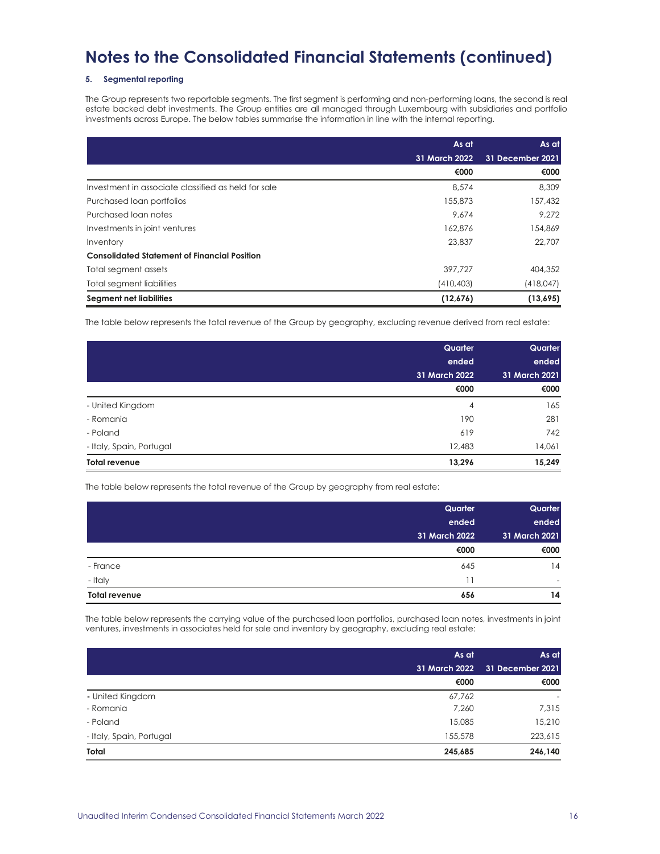### **5. Segmental reporting**

The Group represents two reportable segments. The first segment is performing and non-performing loans, the second is real estate backed debt investments. The Group entities are all managed through Luxembourg with subsidiaries and portfolio investments across Europe. The below tables summarise the information in line with the internal reporting.

|                                                     | As at         | As at            |
|-----------------------------------------------------|---------------|------------------|
|                                                     | 31 March 2022 | 31 December 2021 |
|                                                     | €000          | €000             |
| Investment in associate classified as held for sale | 8.574         | 8,309            |
| Purchased loan portfolios                           | 155,873       | 157,432          |
| Purchased loan notes                                | 9.674         | 9.272            |
| Investments in joint ventures                       | 162.876       | 154,869          |
| Inventory                                           | 23,837        | 22,707           |
| <b>Consolidated Statement of Financial Position</b> |               |                  |
| Total segment assets                                | 397.727       | 404,352          |
| <b>Total segment liabilities</b>                    | (410, 403)    | (418, 047)       |
| <b>Segment net liabilities</b>                      | (12,676)      | (13,695)         |

The table below represents the total revenue of the Group by geography, excluding revenue derived from real estate:

|                          | Quarter        | Quarter       |  |
|--------------------------|----------------|---------------|--|
|                          | ended          | ended         |  |
|                          | 31 March 2022  | 31 March 2021 |  |
|                          | €000           | €000          |  |
| - United Kingdom         | $\overline{4}$ | 165           |  |
| - Romania                | 190            | 281           |  |
| - Poland                 | 619            | 742           |  |
| - Italy, Spain, Portugal | 12,483         | 14,061        |  |
| <b>Total revenue</b>     | 13,296         | 15,249        |  |

The table below represents the total revenue of the Group by geography from real estate:

|                      | Quarter       | Quarter       |
|----------------------|---------------|---------------|
|                      | ended         | ended         |
|                      | 31 March 2022 | 31 March 2021 |
|                      | €000          | €000          |
| - France             | 645           | 14            |
| - Italy              | 11            | -             |
| <b>Total revenue</b> | 656           | 14            |

The table below represents the carrying value of the purchased loan portfolios, purchased loan notes, investments in joint ventures, investments in associates held for sale and inventory by geography, excluding real estate:

|                          | As at         | As at<br>31 December 2021 |
|--------------------------|---------------|---------------------------|
|                          | 31 March 2022 |                           |
|                          | €000          | €000                      |
| - United Kingdom         | 67,762        | $\overline{\phantom{a}}$  |
| - Romania                | 7,260         | 7,315                     |
| - Poland                 | 15,085        | 15,210                    |
| - Italy, Spain, Portugal | 155,578       | 223,615                   |
| Total                    | 245,685       | 246,140                   |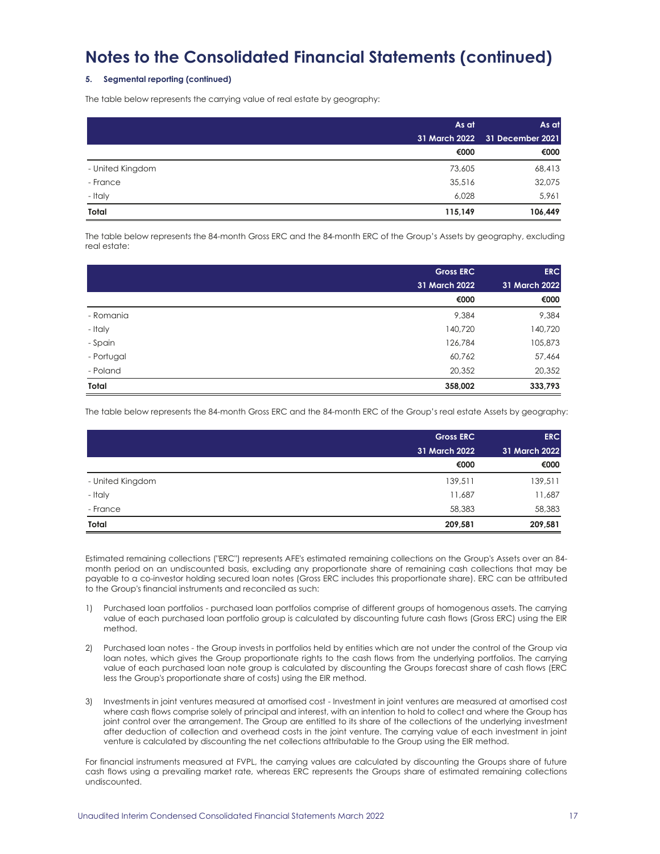### **5. Segmental reporting (continued)**

The table below represents the carrying value of real estate by geography:

|                  | As at   | As at                          |  |
|------------------|---------|--------------------------------|--|
|                  |         | 31 March 2022 31 December 2021 |  |
|                  | €000    | €000                           |  |
| - United Kingdom | 73,605  | 68,413                         |  |
| - France         | 35,516  | 32,075                         |  |
| - Italy          | 6,028   | 5,961                          |  |
| Total            | 115,149 | 106,449                        |  |

The table below represents the 84-month Gross ERC and the 84-month ERC of the Group's Assets by geography, excluding real estate:

|            | <b>Gross ERC</b> | <b>ERC</b>    |
|------------|------------------|---------------|
|            | 31 March 2022    | 31 March 2022 |
|            | €000             | €000          |
| - Romania  | 9,384            | 9,384         |
| - Italy    | 140,720          | 140,720       |
| - Spain    | 126,784          | 105,873       |
| - Portugal | 60,762           | 57,464        |
| - Poland   | 20,352           | 20,352        |
| Total      | 358,002          | 333,793       |

The table below represents the 84-month Gross ERC and the 84-month ERC of the Group's real estate Assets by geography:

|                  | <b>Gross ERC</b> | <b>ERC</b><br>31 March 2022 |
|------------------|------------------|-----------------------------|
|                  | 31 March 2022    |                             |
|                  | €000             | €000                        |
| - United Kingdom | 139,511          | 139,511                     |
| - Italy          | 11,687           | 11,687                      |
| - France         | 58,383           | 58,383                      |
| Total            | 209,581          | 209,581                     |

Estimated remaining collections ("ERC") represents AFE's estimated remaining collections on the Group's Assets over an 84 month period on an undiscounted basis, excluding any proportionate share of remaining cash collections that may be payable to a co-investor holding secured loan notes (Gross ERC includes this proportionate share). ERC can be attributed to the Group's financial instruments and reconciled as such:

- 1) Purchased loan portfolios purchased loan portfolios comprise of different groups of homogenous assets. The carrying value of each purchased loan portfolio group is calculated by discounting future cash flows (Gross ERC) using the EIR method.
- 2) Purchased loan notes the Group invests in portfolios held by entities which are not under the control of the Group via loan notes, which gives the Group proportionate rights to the cash flows from the underlying portfolios. The carrying value of each purchased loan note group is calculated by discounting the Groups forecast share of cash flows (ERC less the Group's proportionate share of costs) using the EIR method.
- 3) Investments in joint ventures measured at amortised cost Investment in joint ventures are measured at amortised cost where cash flows comprise solely of principal and interest, with an intention to hold to collect and where the Group has joint control over the arrangement. The Group are entitled to its share of the collections of the underlying investment after deduction of collection and overhead costs in the joint venture. The carrying value of each investment in joint venture is calculated by discounting the net collections attributable to the Group using the EIR method.

For financial instruments measured at FVPL, the carrying values are calculated by discounting the Groups share of future cash flows using a prevailing market rate, whereas ERC represents the Groups share of estimated remaining collections undiscounted.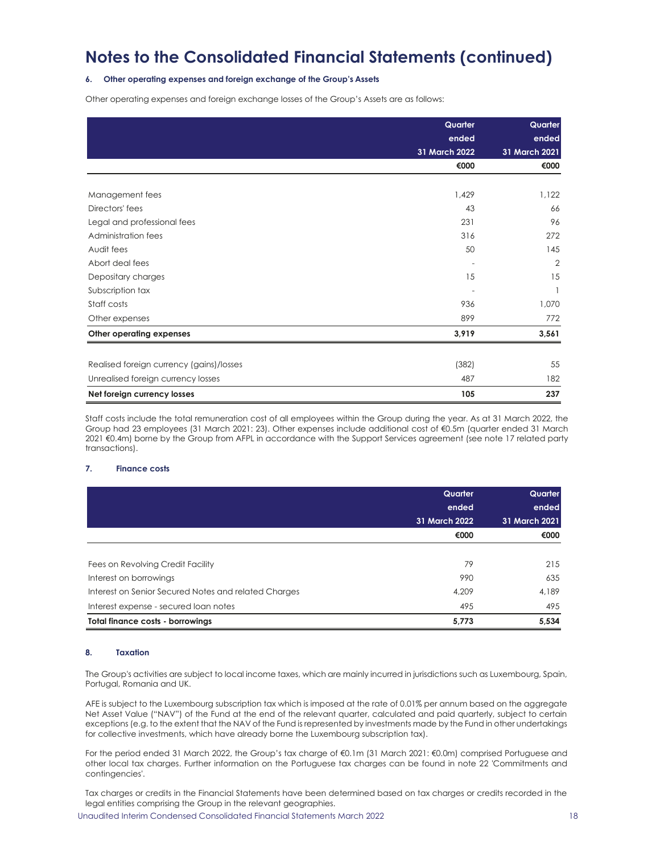### **6. Other operating expenses and foreign exchange of the Group's Assets**

Other operating expenses and foreign exchange losses of the Group's Assets are as follows:

|                                          | Quarter<br>ended | Quarter<br>ended<br>31 March 2021 |
|------------------------------------------|------------------|-----------------------------------|
|                                          | 31 March 2022    |                                   |
|                                          | €000             | €000                              |
|                                          |                  |                                   |
| Management fees                          | 1,429            | 1,122                             |
| Directors' fees                          | 43               | 66                                |
| Legal and professional fees              | 231              | 96                                |
| Administration fees                      | 316              | 272                               |
| Audit fees                               | 50               | 145                               |
| Abort deal fees                          |                  | $\overline{2}$                    |
| Depositary charges                       | 15               | 15                                |
| Subscription tax                         |                  |                                   |
| Staff costs                              | 936              | 1,070                             |
| Other expenses                           | 899              | 772                               |
| Other operating expenses                 | 3,919            | 3,561                             |
|                                          |                  |                                   |
| Realised foreign currency (gains)/losses | (382)            | 55                                |
| Unrealised foreign currency losses       | 487              | 182                               |
| Net foreign currency losses              | 105              | 237                               |

Staff costs include the total remuneration cost of all employees within the Group during the year. As at 31 March 2022, the Group had 23 employees (31 March 2021: 23). Other expenses include additional cost of €0.5m (quarter ended 31 March 2021 €0.4m) borne by the Group from AFPL in accordance with the Support Services agreement (see note 17 related party transactions).

### **7. Finance costs**

|                                                      | Quarter<br>ended<br>31 March 2022 | Quarter<br>ended<br>31 March 2021 |
|------------------------------------------------------|-----------------------------------|-----------------------------------|
|                                                      | €000                              | €000                              |
| Fees on Revolving Credit Facility                    | 79                                | 215                               |
| Interest on borrowings                               | 990                               | 635                               |
| Interest on Senior Secured Notes and related Charges | 4.209                             | 4.189                             |
| Interest expense - secured loan notes                | 495                               | 495                               |
| <b>Total finance costs - borrowings</b>              | 5,773                             | 5,534                             |

### **8. Taxation**

The Group's activities are subject to local income taxes, which are mainly incurred in jurisdictions such as Luxembourg, Spain, Portugal, Romania and UK.

AFE is subject to the Luxembourg subscription tax which is imposed at the rate of 0.01% per annum based on the aggregate Net Asset Value ("NAV") of the Fund at the end of the relevant quarter, calculated and paid quarterly, subject to certain exceptions (e.g. to the extent that the NAV of the Fund is represented by investments made by the Fund in other undertakings for collective investments, which have already borne the Luxembourg subscription tax).

For the period ended 31 March 2022, the Group's tax charge of €0.1m (31 March 2021: €0.0m) comprised Portuguese and other local tax charges. Further information on the Portuguese tax charges can be found in note 22 'Commitments and contingencies'.

Tax charges or credits in the Financial Statements have been determined based on tax charges or credits recorded in the legal entities comprising the Group in the relevant geographies.

Unaudited Interim Condensed Consolidated Financial Statements March 2022 18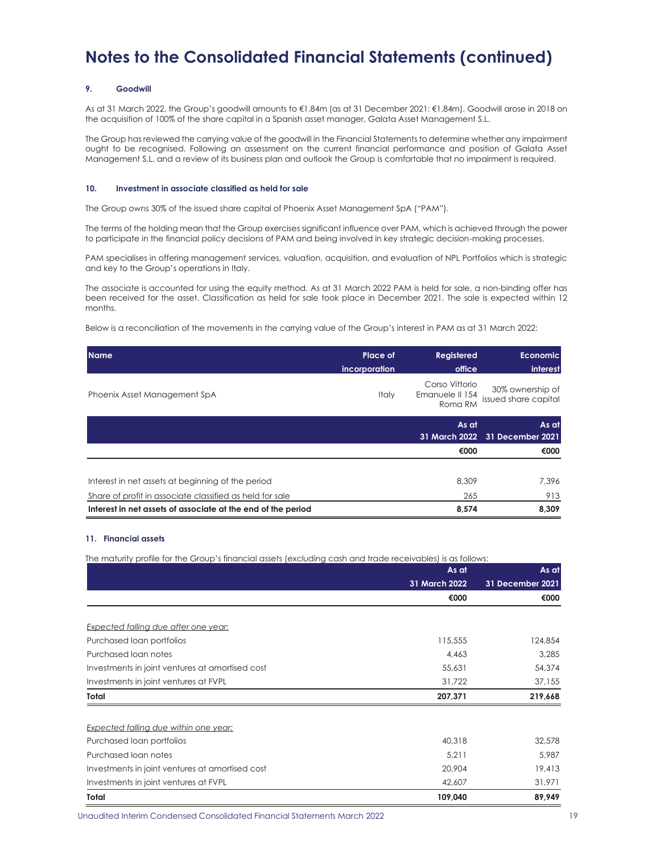### **9. Goodwill**

As at 31 March 2022, the Group's goodwill amounts to €1.84m (as at 31 December 2021: €1.84m). Goodwill arose in 2018 on the acquisition of 100% of the share capital in a Spanish asset manager, Galata Asset Management S.L.

The Group has reviewed the carrying value of the goodwill in the Financial Statements to determine whether any impairment ought to be recognised. Following an assessment on the current financial performance and position of Galata Asset Management S.L. and a review of its business plan and outlook the Group is comfortable that no impairment is required.

### **10. Investment in associate classified as held for sale**

The Group owns 30% of the issued share capital of Phoenix Asset Management SpA ("PAM").

The terms of the holding mean that the Group exercises significant influence over PAM, which is achieved through the power to participate in the financial policy decisions of PAM and being involved in key strategic decision-making processes.

PAM specialises in offering management services, valuation, acquisition, and evaluation of NPL Portfolios which is strategic and key to the Group's operations in Italy.

The associate is accounted for using the equity method. As at 31 March 2022 PAM is held for sale, a non-binding offer has been received for the asset. Classification as held for sale took place in December 2021. The sale is expected within 12 months.

Below is a reconciliation of the movements in the carrying value of the Group's interest in PAM as at 31 March 2022:

| <b>Name</b>                                              | <b>Place of</b><br>incorporation | <b>Registered</b><br>office                  | <b>Economic</b><br>interest              |
|----------------------------------------------------------|----------------------------------|----------------------------------------------|------------------------------------------|
| Phoenix Asset Management SpA                             | Italy                            | Corso Vittorio<br>Emanuele II 154<br>Roma RM | 30% ownership of<br>issued share capital |
|                                                          |                                  | As at                                        | As at<br>31 March 2022 31 December 2021  |
|                                                          |                                  | €000                                         | €000                                     |
| Interest in net assets at beginning of the period        |                                  | 8,309                                        | 7,396                                    |
| Share of profit in associate classified as held for sale |                                  | 265                                          | 913                                      |

**Interest in net assets of associate at the end of the period 8,574 8,309** 

### **11. Financial assets**

The maturity profile for the Group's financial assets (excluding cash and trade receivables) is as follows:

|                                                 | As at         | As at            |
|-------------------------------------------------|---------------|------------------|
|                                                 | 31 March 2022 | 31 December 2021 |
|                                                 | €000          | €000             |
|                                                 |               |                  |
| <b>Expected falling due after one year:</b>     |               |                  |
| Purchased loan portfolios                       | 115,555       | 124,854          |
| Purchased loan notes                            | 4,463         | 3,285            |
| Investments in joint ventures at amortised cost | 55,631        | 54,374           |
| Investments in joint ventures at FVPL           | 31,722        | 37,155           |
| Total                                           | 207,371       | 219,668          |
| <b>Expected falling due within one year:</b>    |               |                  |
| Purchased loan portfolios                       | 40,318        | 32,578           |
| Purchased loan notes                            | 5,211         | 5,987            |
| Investments in joint ventures at amortised cost | 20,904        | 19,413           |
| Investments in joint ventures at FVPL           | 42,607        | 31,971           |
| Total                                           | 109,040       | 89,949           |

Unaudited Interim Condensed Consolidated Financial Statements March 2022 19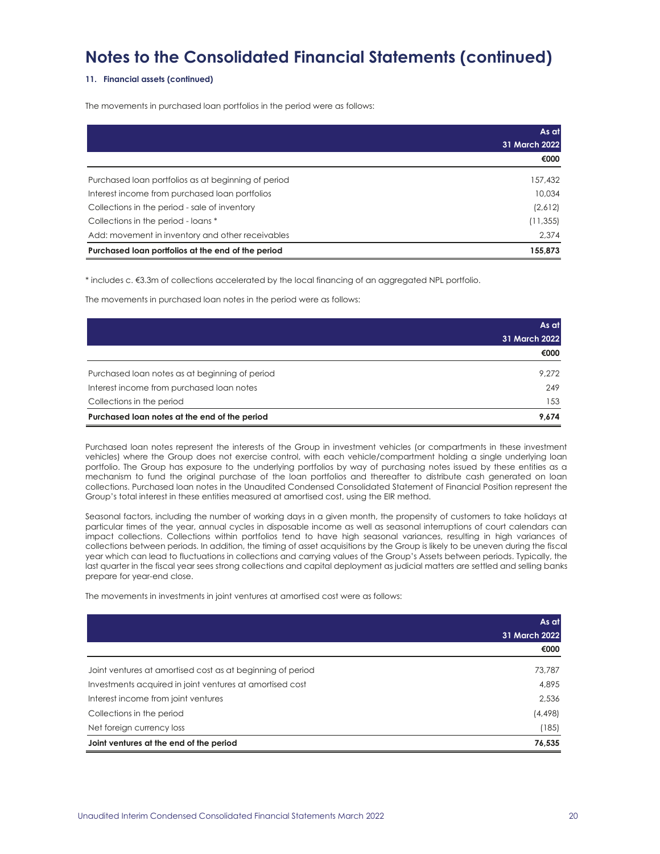### **11. Financial assets (continued)**

The movements in purchased loan portfolios in the period were as follows:

|                                                     | As at         |
|-----------------------------------------------------|---------------|
|                                                     | 31 March 2022 |
|                                                     | €000          |
| Purchased loan portfolios as at beginning of period | 157,432       |
| Interest income from purchased loan portfolios      | 10.034        |
| Collections in the period - sale of inventory       | (2,612)       |
| Collections in the period - loans *                 | (11, 355)     |
| Add: movement in inventory and other receivables    | 2.374         |
| Purchased loan portfolios at the end of the period  | 155.873       |

\* includes c. €3.3m of collections accelerated by the local financing of an aggregated NPL portfolio.

The movements in purchased loan notes in the period were as follows:

|                                                | As at         |
|------------------------------------------------|---------------|
|                                                | 31 March 2022 |
|                                                | €000          |
| Purchased loan notes as at beginning of period | 9.272         |
| Interest income from purchased loan notes      | 249           |
| Collections in the period                      | 153           |
| Purchased loan notes at the end of the period  | 9.674         |

Purchased loan notes represent the interests of the Group in investment vehicles (or compartments in these investment vehicles) where the Group does not exercise control, with each vehicle/compartment holding a single underlying loan portfolio. The Group has exposure to the underlying portfolios by way of purchasing notes issued by these entities as a mechanism to fund the original purchase of the loan portfolios and thereafter to distribute cash generated on loan collections. Purchased loan notes in the Unaudited Condensed Consolidated Statement of Financial Position represent the Group's total interest in these entities measured at amortised cost, using the EIR method.

Seasonal factors, including the number of working days in a given month, the propensity of customers to take holidays at particular times of the year, annual cycles in disposable income as well as seasonal interruptions of court calendars can impact collections. Collections within portfolios tend to have high seasonal variances, resulting in high variances of collections between periods. In addition, the timing of asset acquisitions by the Group is likely to be uneven during the fiscal year which can lead to fluctuations in collections and carrying values of the Group's Assets between periods. Typically, the last quarter in the fiscal year sees strong collections and capital deployment as judicial matters are settled and selling banks prepare for year-end close.

The movements in investments in joint ventures at amortised cost were as follows:

|                                                            | As at         |
|------------------------------------------------------------|---------------|
|                                                            | 31 March 2022 |
|                                                            | €000          |
| Joint ventures at amortised cost as at beginning of period | 73,787        |
| Investments acquired in joint ventures at amortised cost   | 4,895         |
| Interest income from joint ventures                        | 2,536         |
| Collections in the period                                  | (4,498)       |
| Net foreign currency loss                                  | (185)         |
| Joint ventures at the end of the period                    | 76,535        |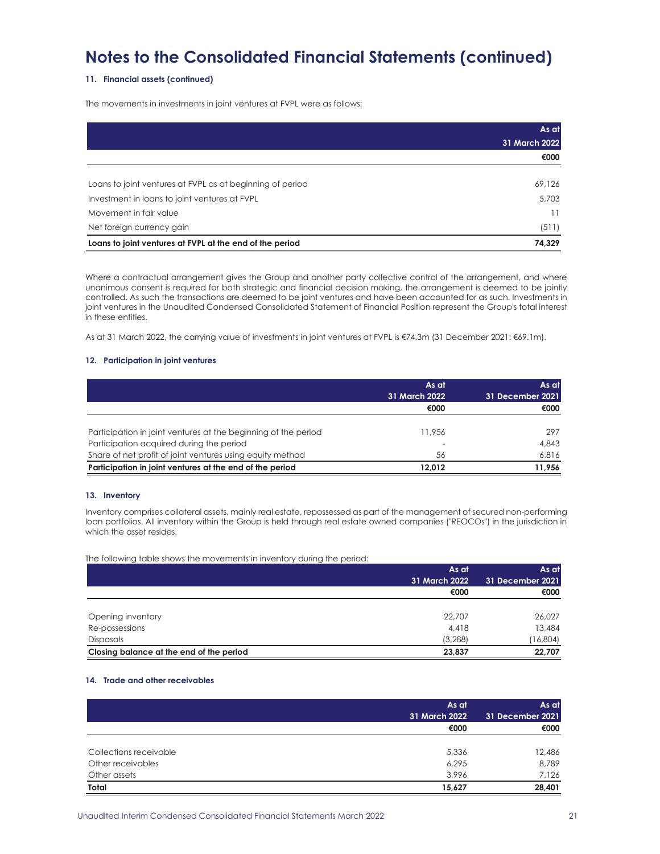### **11. Financial assets (continued)**

The movements in investments in joint ventures at FVPL were as follows:

|                                                           | As at         |
|-----------------------------------------------------------|---------------|
|                                                           | 31 March 2022 |
|                                                           | €000          |
|                                                           |               |
| Loans to joint ventures at FVPL as at beginning of period | 69,126        |
| Investment in loans to joint ventures at FVPL             | 5,703         |
| Movement in fair value                                    | 11            |
| Net foreign currency gain                                 | (511)         |
| Loans to joint ventures at FVPL at the end of the period  | 74.329        |

Where a contractual arrangement gives the Group and another party collective control of the arrangement, and where unanimous consent is required for both strategic and financial decision making, the arrangement is deemed to be jointly controlled. As such the transactions are deemed to be joint ventures and have been accounted for as such. Investments in joint ventures in the Unaudited Condensed Consolidated Statement of Financial Position represent the Group's total interest in these entities.

As at 31 March 2022, the carrying value of investments in joint ventures at FVPL is €74.3m (31 December 2021: €69.1m).

#### **12. Participation in joint ventures**

|                                                                | As at<br>31 March 2022 | As at<br>31 December 2021 |
|----------------------------------------------------------------|------------------------|---------------------------|
|                                                                | €000                   | €000                      |
| Participation in joint ventures at the beginning of the period | 11,956                 | 297                       |
| Participation acquired during the period                       |                        | 4.843                     |
| Share of net profit of joint ventures using equity method      | 56                     | 6.816                     |
| Participation in joint ventures at the end of the period       | 12.012                 | 11.956                    |

### **13. Inventory**

Inventory comprises collateral assets, mainly real estate, repossessed as part of the management of secured non-performing loan portfolios. All inventory within the Group is held through real estate owned companies ("REOCOs") in the jurisdiction in which the asset resides.

The following table shows the movements in inventory during the period:

| -                                        | As at         | As at            |  |
|------------------------------------------|---------------|------------------|--|
|                                          | 31 March 2022 | 31 December 2021 |  |
|                                          | €000          | €000             |  |
|                                          |               |                  |  |
| Opening inventory                        | 22,707        | 26,027           |  |
| Re-possessions                           | 4,418         | 13,484           |  |
| <b>Disposals</b>                         | (3, 288)      | (16, 804)        |  |
| Closing balance at the end of the period | 23,837        | 22,707           |  |

#### **14. Trade and other receivables**

|                        | As at<br>31 March 2022 | As at<br>31 December 2021 |  |
|------------------------|------------------------|---------------------------|--|
|                        | €000                   | €000                      |  |
| Collections receivable | 5,336                  | 12,486                    |  |
| Other receivables      | 6,295                  | 8,789                     |  |
| Other assets           | 3,996                  | 7,126                     |  |
| Total                  | 15,627                 | 28,401                    |  |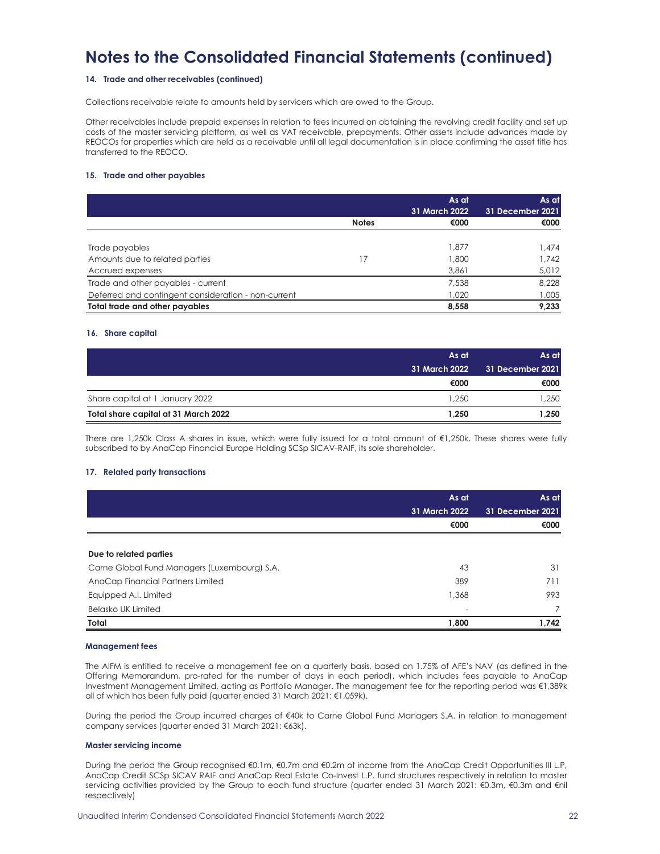### **14. Trade and other receivables (continued)**

Collections receivable relate to amounts held by servicers which are owed to the Group.

Other receivables include prepaid expenses in relation to fees incurred on obtaining the revolving credit facility and set up costs of the master servicing platform, as well as VAT receivable, prepayments. Other assets include advances made by REOCOs for properties which are held as a receivable until all legal documentation is in place confirming the asset title has transferred to the REOCO.

### **15. Trade and other payables**

|                                                     |              | As at<br>31 March 2022 | As at<br>31 December 2021 |
|-----------------------------------------------------|--------------|------------------------|---------------------------|
|                                                     | <b>Notes</b> | €000                   | €000                      |
|                                                     |              |                        |                           |
| Trade payables                                      |              | 1.877                  | 1.474                     |
| Amounts due to related parties                      | 17           | 1,800                  | 1.742                     |
| Accrued expenses                                    |              | 3,861                  | 5,012                     |
| Trade and other payables - current                  |              | 7.538                  | 8.228                     |
| Deferred and contingent consideration - non-current |              | 1.020                  | 1,005                     |
| Total trade and other payables                      |              | 8,558                  | 9,233                     |

#### **16. Share capital**

|                                      | As at         | 'As atl          |  |
|--------------------------------------|---------------|------------------|--|
|                                      | 31 March 2022 | 31 December 2021 |  |
|                                      | €000          | €000             |  |
| Share capital at 1 January 2022      | 1.250         | .250             |  |
| Total share capital at 31 March 2022 | 1.250         | 1.250            |  |

There are 1,250k Class A shares in issue, which were fully issued for a total amount of €1,250k. These shares were fully subscribed to by AnaCap Financial Europe Holding SCSp SICAV-RAIF, its sole shareholder.

#### **17. Related party transactions**

|                                              | As at         | As at            |  |
|----------------------------------------------|---------------|------------------|--|
|                                              | 31 March 2022 | 31 December 2021 |  |
|                                              | €000          | €000             |  |
|                                              |               |                  |  |
| Due to related parties                       |               |                  |  |
| Carne Global Fund Managers (Luxembourg) S.A. | 43            | 31               |  |
| AnaCap Financial Partners Limited            | 389           | 711              |  |
| Equipped A.I. Limited                        | 1,368         | 993              |  |
| <b>Belasko UK Limited</b>                    |               | $\overline{7}$   |  |
| Total                                        | 1,800         | 1,742            |  |

#### **Management fees**

The AIFM is entitled to receive a management fee on a quarterly basis, based on 1.75% of AFE's NAV (as defined in the Offering Memorandum, pro-rated for the number of days in each period), which includes fees payable to AnaCap Investment Management Limited, acting as Portfolio Manager. The management fee for the reporting period was €1,389k all of which has been fully paid (quarter ended 31 March 2021: €1,059k).

During the period the Group incurred charges of €40k to Carne Global Fund Managers S.A. in relation to management company services (quarter ended 31 March 2021: €63k).

#### **Master servicing income**

During the period the Group recognised €0.1m, €0.7m and €0.2m of income from the AnaCap Credit Opportunities III L.P, AnaCap Credit SCSp SICAV RAIF and AnaCap Real Estate Co-Invest L.P. fund structures respectively in relation to master servicing activities provided by the Group to each fund structure (quarter ended 31 March 2021: €0.3m, €0.3m and €nil respectively)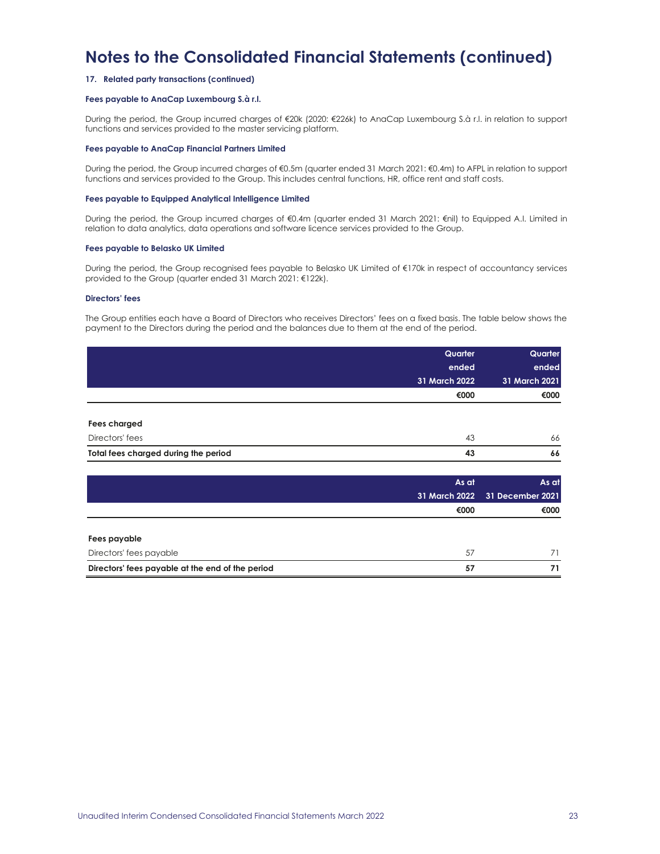### **17. Related party transactions (continued)**

### **Fees payable to AnaCap Luxembourg S.à r.l.**

During the period, the Group incurred charges of €20k (2020: €226k) to AnaCap Luxembourg S.à r.l. in relation to support functions and services provided to the master servicing platform.

#### **Fees payable to AnaCap Financial Partners Limited**

During the period, the Group incurred charges of €0.5m (quarter ended 31 March 2021: €0.4m) to AFPL in relation to support functions and services provided to the Group. This includes central functions, HR, office rent and staff costs.

#### **Fees payable to Equipped Analytical Intelligence Limited**

During the period, the Group incurred charges of €0.4m (quarter ended 31 March 2021: €nil) to Equipped A.I. Limited in relation to data analytics, data operations and software licence services provided to the Group.

#### **Fees payable to Belasko UK Limited**

During the period, the Group recognised fees payable to Belasko UK Limited of €170k in respect of accountancy services provided to the Group (quarter ended 31 March 2021: €122k).

### **Directors' fees**

The Group entities each have a Board of Directors who receives Directors' fees on a fixed basis. The table below shows the payment to the Directors during the period and the balances due to them at the end of the period.

|                                      | Quarter       | Quarter       |
|--------------------------------------|---------------|---------------|
|                                      | ended         | ended         |
|                                      | 31 March 2022 | 31 March 2021 |
|                                      | €000          | €000          |
|                                      |               |               |
| <b>Fees charged</b>                  |               |               |
| Directors' fees                      | 43            | 66            |
| Total fees charged during the period | 43            | 66            |

|                                                  | As at | As at                          |
|--------------------------------------------------|-------|--------------------------------|
|                                                  |       | 31 March 2022 31 December 2021 |
|                                                  | €000  | €000                           |
|                                                  |       |                                |
| Fees payable                                     |       |                                |
| Directors' fees payable                          | 57    | 71                             |
| Directors' fees payable at the end of the period | 57    | 71                             |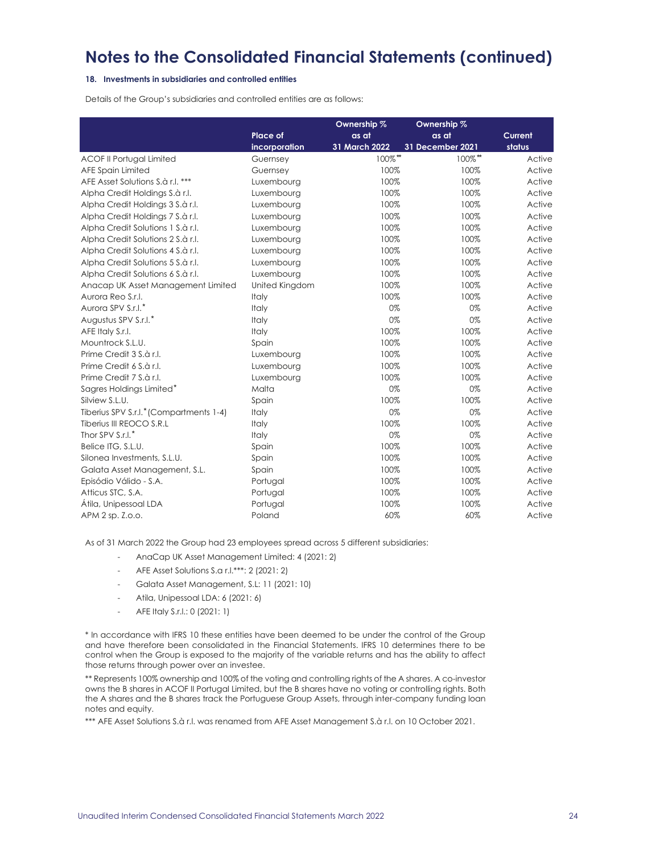### **18. Investments in subsidiaries and controlled entities**

Details of the Group's subsidiaries and controlled entities are as follows:

|                                         |                | Ownership %   | Ownership %      |         |
|-----------------------------------------|----------------|---------------|------------------|---------|
|                                         | Place of       | as at         | as at            | Current |
|                                         | incorporation  | 31 March 2022 | 31 December 2021 | status  |
| <b>ACOF II Portugal Limited</b>         | Guernsey       | 100%**        | 100%**           | Active  |
| AFE Spain Limited                       | Guernsey       | 100%          | 100%             | Active  |
| AFE Asset Solutions S.à r.l. ***        | Luxembourg     | 100%          | 100%             | Active  |
| Alpha Credit Holdings S.à r.l.          | Luxembourg     | 100%          | 100%             | Active  |
| Alpha Credit Holdings 3 S.à r.l.        | Luxembourg     | 100%          | 100%             | Active  |
| Alpha Credit Holdings 7 S.à r.l.        | Luxembourg     | 100%          | 100%             | Active  |
| Alpha Credit Solutions 1 S.à r.l.       | Luxembourg     | 100%          | 100%             | Active  |
| Alpha Credit Solutions 2 S.à r.l.       | Luxembourg     | 100%          | 100%             | Active  |
| Alpha Credit Solutions 4 S.à r.l.       | Luxembourg     | 100%          | 100%             | Active  |
| Alpha Credit Solutions 5 S.à r.l.       | Luxembourg     | 100%          | 100%             | Active  |
| Alpha Credit Solutions 6 S.à r.l.       | Luxembourg     | 100%          | 100%             | Active  |
| Anacap UK Asset Management Limited      | United Kingdom | 100%          | 100%             | Active  |
| Aurora Reo S.r.I.                       | Italy          | 100%          | 100%             | Active  |
| Aurora SPV S.r.l.*                      | Italy          | 0%            | 0%               | Active  |
| Augustus SPV S.r.l.*                    | Italy          | 0%            | 0%               | Active  |
| AFE Italy S.r.l.                        | Italy          | 100%          | 100%             | Active  |
| Mountrock S.L.U.                        | Spain          | 100%          | 100%             | Active  |
| Prime Credit 3 S.à r.l.                 | Luxembourg     | 100%          | 100%             | Active  |
| Prime Credit 6 S.à r.l.                 | Luxembourg     | 100%          | 100%             | Active  |
| Prime Credit 7 S.à r.l.                 | Luxembourg     | 100%          | 100%             | Active  |
| Sagres Holdings Limited*                | Malta          | 0%            | 0%               | Active  |
| Silview S.L.U.                          | Spain          | 100%          | 100%             | Active  |
| Tiberius SPV S.r.l.* (Compartments 1-4) | Italy          | 0%            | 0%               | Active  |
| Tiberius III REOCO S.R.L                | Italy          | 100%          | 100%             | Active  |
| Thor SPV S.r.l.*                        | Italy          | 0%            | 0%               | Active  |
| Belice ITG, S.L.U.                      | Spain          | 100%          | 100%             | Active  |
| Silonea Investments, S.L.U.             | Spain          | 100%          | 100%             | Active  |
| Galata Asset Management, S.L.           | Spain          | 100%          | 100%             | Active  |
| Episódio Válido - S.A.                  | Portugal       | 100%          | 100%             | Active  |
| Atticus STC, S.A.                       | Portugal       | 100%          | 100%             | Active  |
| Átila, Unipessoal LDA                   | Portugal       | 100%          | 100%             | Active  |
| APM 2 sp. Z.o.o.                        | Poland         | 60%           | 60%              | Active  |

As of 31 March 2022 the Group had 23 employees spread across 5 different subsidiaries:

- AnaCap UK Asset Management Limited: 4 (2021: 2)
- AFE Asset Solutions S.a r.l.\*\*\*: 2 (2021: 2)
- Galata Asset Management, S.L: 11 (2021: 10)
- Atila, Unipessoal LDA: 6 (2021: 6)
- AFE Italy S.r.l.: 0 (2021: 1)

\* In accordance with IFRS 10 these entities have been deemed to be under the control of the Group and have therefore been consolidated in the Financial Statements. IFRS 10 determines there to be control when the Group is exposed to the majority of the variable returns and has the ability to affect those returns through power over an investee.

\*\* Represents 100% ownership and 100% of the voting and controlling rights of the A shares. A co-investor owns the B shares in ACOF II Portugal Limited, but the B shares have no voting or controlling rights. Both the A shares and the B shares track the Portuguese Group Assets, through inter-company funding loan notes and equity.

\*\*\* AFE Asset Solutions S.à r.l. was renamed from AFE Asset Management S.à r.l. on 10 October 2021.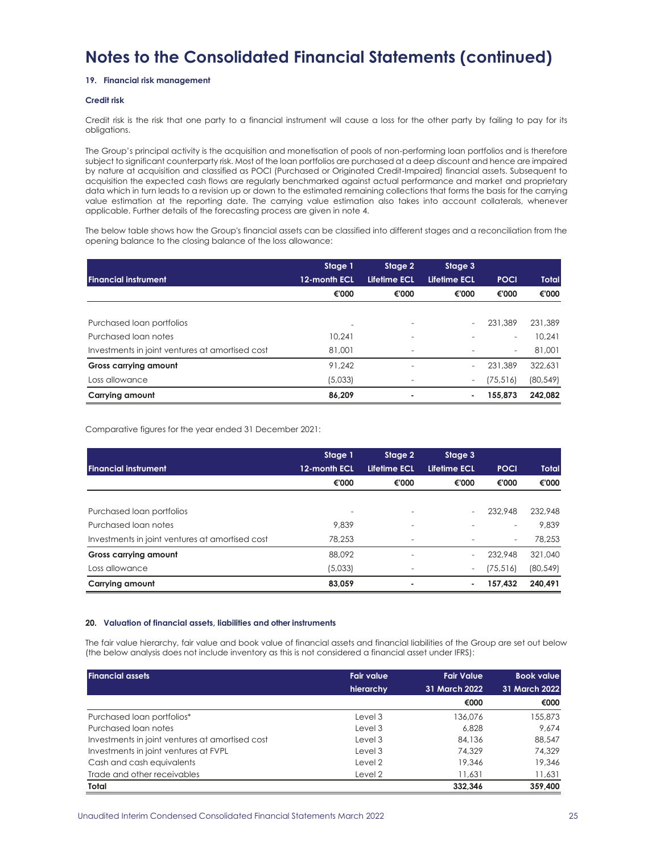### **19. Financial risk management**

### **Credit risk**

Credit risk is the risk that one party to a financial instrument will cause a loss for the other party by failing to pay for its obligations.

The Group's principal activity is the acquisition and monetisation of pools of non-performing loan portfolios and is therefore subject to significant counterparty risk. Most of the loan portfolios are purchased at a deep discount and hence are impaired by nature at acquisition and classified as POCI (Purchased or Originated Credit-Impaired) financial assets. Subsequent to acquisition the expected cash flows are regularly benchmarked against actual performance and market and proprietary data which in turn leads to a revision up or down to the estimated remaining collections that forms the basis for the carrying value estimation at the reporting date. The carrying value estimation also takes into account collaterals, whenever applicable. Further details of the forecasting process are given in note 4.

The below table shows how the Group's financial assets can be classified into different stages and a reconciliation from the opening balance to the closing balance of the loss allowance:

|                                                 | Stage 1      | Stage 2      | Stage 3      |                          |              |
|-------------------------------------------------|--------------|--------------|--------------|--------------------------|--------------|
| <b>Financial instrument</b>                     | 12-month ECL | Lifetime ECL | Lifetime ECL | <b>POCI</b>              | <b>Total</b> |
|                                                 | €'000        | €'000        | €'000        | €'000                    | €'000        |
|                                                 |              |              |              |                          |              |
| Purchased loan portfolios                       |              |              |              | 231.389                  | 231,389      |
| Purchased loan notes                            | 10.241       |              |              | $\overline{\phantom{a}}$ | 10.241       |
| Investments in joint ventures at amortised cost | 81,001       |              |              | $\overline{\phantom{a}}$ | 81,001       |
| <b>Gross carrying amount</b>                    | 91.242       |              | $\sim$       | 231,389                  | 322,631      |
| Loss allowance                                  | (5,033)      |              | $\sim$       | (75, 516)                | (80, 549)    |
| Carrying amount                                 | 86.209       | ۰            | ۰            | 155.873                  | 242.082      |

Comparative figures for the year ended 31 December 2021:

|                                                 | Stage 1      | Stage 2                  | Stage 3                  |                          |              |
|-------------------------------------------------|--------------|--------------------------|--------------------------|--------------------------|--------------|
| <b>Financial instrument</b>                     | 12-month ECL | Lifetime ECL             | Lifetime ECL             | <b>POCI</b>              | <b>Total</b> |
|                                                 | €'000        | €'000                    | €'000                    | €'000                    | €'000        |
|                                                 |              |                          |                          |                          |              |
| Purchased loan portfolios                       |              |                          |                          | 232.948                  | 232,948      |
| Purchased loan notes                            | 9.839        |                          |                          | $\overline{\phantom{a}}$ | 9.839        |
| Investments in joint ventures at amortised cost | 78.253       | $\overline{\phantom{0}}$ |                          | $\overline{\phantom{a}}$ | 78.253       |
| <b>Gross carrying amount</b>                    | 88.092       |                          | $\sim$                   | 232,948                  | 321,040      |
| Loss allowance                                  | (5,033)      |                          | $\overline{\phantom{a}}$ | (75, 516)                | (80, 549)    |
| Carrying amount                                 | 83.059       | ۰                        | ٠                        | 157.432                  | 240.491      |

### **20. Valuation of financial assets, liabilities and other instruments**

The fair value hierarchy, fair value and book value of financial assets and financial liabilities of the Group are set out below (the below analysis does not include inventory as this is not considered a financial asset under IFRS):

| <b>Financial assets</b>                         | <b>Fair value</b><br>hierarchy | <b>Fair Value</b><br>31 March 2022 | <b>Book value</b><br>31 March 2022 |
|-------------------------------------------------|--------------------------------|------------------------------------|------------------------------------|
|                                                 |                                | €000                               | €000                               |
| Purchased loan portfolios*                      | Level 3                        | 136.076                            | 155,873                            |
| Purchased loan notes                            | Level 3                        | 6,828                              | 9.674                              |
| Investments in joint ventures at amortised cost | Level 3                        | 84.136                             | 88,547                             |
| Investments in joint ventures at FVPL           | Level 3                        | 74.329                             | 74.329                             |
| Cash and cash equivalents                       | Level 2                        | 19,346                             | 19,346                             |
| Trade and other receivables                     | Level 2                        | 11.631                             | 11,631                             |
| Total                                           |                                | 332.346                            | 359,400                            |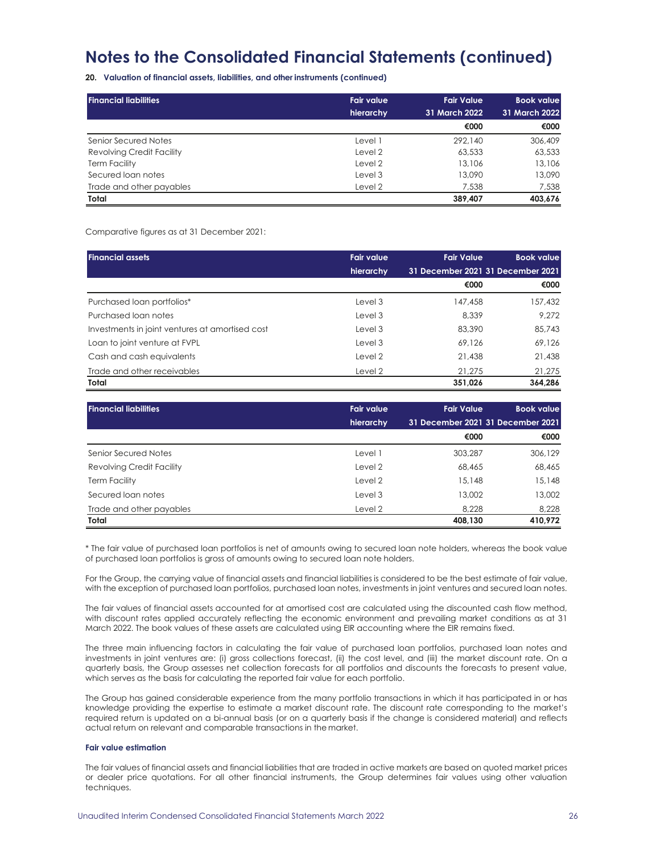**20. Valuation of financial assets, liabilities, and other instruments (continued)**

| l Financial liabilities   | <b>Fair value</b> | <b>Fair Value</b> | <b>Book value</b> |
|---------------------------|-------------------|-------------------|-------------------|
|                           | hierarchy         | 31 March 2022     | 31 March 2022     |
|                           |                   | €000              | €000              |
| Senior Secured Notes      | Level 1           | 292.140           | 306,409           |
| Revolving Credit Facility | Level 2           | 63,533            | 63,533            |
| <b>Term Facility</b>      | Level 2           | 13,106            | 13,106            |
| Secured loan notes        | Level 3           | 13,090            | 13,090            |
| Trade and other payables  | Level 2           | 7.538             | 7,538             |
| Total                     |                   | 389,407           | 403.676           |

Comparative figures as at 31 December 2021:

| <b>Financial assets</b>                         | <b>Fair value</b> | <b>Fair Value</b>                 | <b>Book value</b> |
|-------------------------------------------------|-------------------|-----------------------------------|-------------------|
|                                                 | hierarchy         | 31 December 2021 31 December 2021 |                   |
|                                                 |                   | €000                              | €000              |
| Purchased loan portfolios*                      | Level 3           | 147,458                           | 157,432           |
| Purchased loan notes                            | Level 3           | 8.339                             | 9.272             |
| Investments in joint ventures at amortised cost | Level 3           | 83,390                            | 85,743            |
| Loan to joint venture at FVPL                   | Level 3           | 69.126                            | 69,126            |
| Cash and cash equivalents                       | Level 2           | 21,438                            | 21,438            |
| Trade and other receivables                     | Level 2           | 21,275                            | 21,275            |
| Total                                           |                   | 351,026                           | 364.286           |

| <b>Financial liabilities</b> | <b>Fair value</b> | <b>Fair Value</b>                 | <b>Book value</b> |
|------------------------------|-------------------|-----------------------------------|-------------------|
|                              | hierarchy         | 31 December 2021 31 December 2021 |                   |
|                              |                   | €000                              | €000              |
| Senior Secured Notes         | Level 1           | 303.287                           | 306.129           |
| Revolving Credit Facility    | Level 2           | 68,465                            | 68,465            |
| <b>Term Facility</b>         | Level 2           | 15.148                            | 15,148            |
| Secured loan notes           | Level 3           | 13,002                            | 13,002            |
| Trade and other payables     | Level 2           | 8.228                             | 8,228             |
| Total                        |                   | 408,130                           | 410,972           |

\* The fair value of purchased loan portfolios is net of amounts owing to secured loan note holders, whereas the book value of purchased loan portfolios is gross of amounts owing to secured loan note holders.

For the Group, the carrying value of financial assets and financial liabilities is considered to be the best estimate of fair value, with the exception of purchased loan portfolios, purchased loan notes, investments in joint ventures and secured loan notes.

The fair values of financial assets accounted for at amortised cost are calculated using the discounted cash flow method, with discount rates applied accurately reflecting the economic environment and prevailing market conditions as at 31 March 2022. The book values of these assets are calculated using EIR accounting where the EIR remains fixed.

The three main influencing factors in calculating the fair value of purchased loan portfolios, purchased loan notes and investments in joint ventures are: (i) gross collections forecast, (ii) the cost level, and (iii) the market discount rate. On a quarterly basis, the Group assesses net collection forecasts for all portfolios and discounts the forecasts to present value, which serves as the basis for calculating the reported fair value for each portfolio.

The Group has gained considerable experience from the many portfolio transactions in which it has participated in or has knowledge providing the expertise to estimate a market discount rate. The discount rate corresponding to the market's required return is updated on a bi-annual basis (or on a quarterly basis if the change is considered material) and reflects actual return on relevant and comparable transactions in the market.

### **Fair value estimation**

The fair values of financial assets and financial liabilities that are traded in active markets are based on quoted market prices or dealer price quotations. For all other financial instruments, the Group determines fair values using other valuation techniques.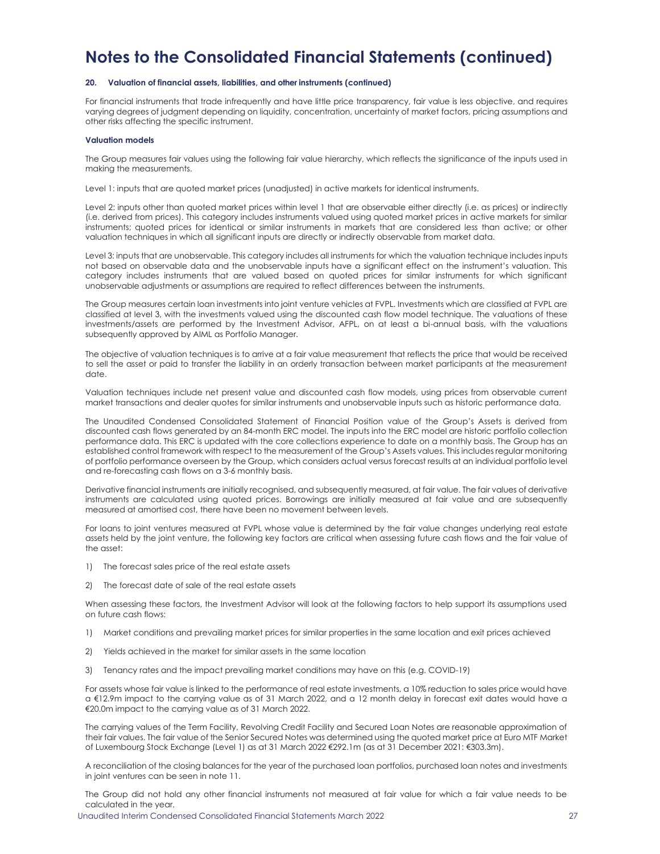### **20. Valuation of financial assets, liabilities, and other instruments (continued)**

For financial instruments that trade infrequently and have little price transparency, fair value is less objective, and requires varying degrees of judgment depending on liquidity, concentration, uncertainty of market factors, pricing assumptions and other risks affecting the specific instrument.

#### **Valuation models**

The Group measures fair values using the following fair value hierarchy, which reflects the significance of the inputs used in making the measurements.

Level 1: inputs that are quoted market prices (unadjusted) in active markets for identical instruments.

Level 2: inputs other than quoted market prices within level 1 that are observable either directly (i.e. as prices) or indirectly (i.e. derived from prices). This category includes instruments valued using quoted market prices in active markets for similar instruments; quoted prices for identical or similar instruments in markets that are considered less than active; or other valuation techniques in which all significant inputs are directly or indirectly observable from market data.

Level 3: inputs that are unobservable. This category includes all instruments for which the valuation technique includes inputs not based on observable data and the unobservable inputs have a significant effect on the instrument's valuation. This category includes instruments that are valued based on quoted prices for similar instruments for which significant unobservable adjustments or assumptions are required to reflect differences between the instruments.

The Group measures certain loan investments into joint venture vehicles at FVPL. Investments which are classified at FVPL are classified at level 3, with the investments valued using the discounted cash flow model technique. The valuations of these investments/assets are performed by the Investment Advisor, AFPL, on at least a bi-annual basis, with the valuations subsequently approved by AIML as Portfolio Manager.

The objective of valuation techniques is to arrive at a fair value measurement that reflects the price that would be received to sell the asset or paid to transfer the liability in an orderly transaction between market participants at the measurement date.

Valuation techniques include net present value and discounted cash flow models, using prices from observable current market transactions and dealer quotes for similar instruments and unobservable inputs such as historic performance data.

The Unaudited Condensed Consolidated Statement of Financial Position value of the Group's Assets is derived from discounted cash flows generated by an 84-month ERC model. The inputs into the ERC model are historic portfolio collection performance data. This ERC is updated with the core collections experience to date on a monthly basis. The Group has an established control framework with respect to the measurement of the Group's Assets values. This includes regular monitoring of portfolio performance overseen by the Group, which considers actual versus forecast results at an individual portfolio level and re-forecasting cash flows on a 3-6 monthly basis.

Derivative financial instruments are initially recognised, and subsequently measured, at fair value. The fair values of derivative instruments are calculated using quoted prices. Borrowings are initially measured at fair value and are subsequently measured at amortised cost, there have been no movement between levels.

For loans to joint ventures measured at FVPL whose value is determined by the fair value changes underlying real estate assets held by the joint venture, the following key factors are critical when assessing future cash flows and the fair value of the asset:

- 1) The forecast sales price of the real estate assets
- 2) The forecast date of sale of the real estate assets

When assessing these factors, the Investment Advisor will look at the following factors to help support its assumptions used on future cash flows:

- 1) Market conditions and prevailing market prices for similar properties in the same location and exit prices achieved
- 2) Yields achieved in the market for similar assets in the same location
- 3) Tenancy rates and the impact prevailing market conditions may have on this (e.g. COVID-19)

For assets whose fair value is linked to the performance of real estate investments, a 10% reduction to sales price would have a €12.9m impact to the carrying value as of 31 March 2022, and a 12 month delay in forecast exit dates would have a €20.0m impact to the carrying value as of 31 March 2022.

The carrying values of the Term Facility, Revolving Credit Facility and Secured Loan Notes are reasonable approximation of their fair values. The fair value of the Senior Secured Notes was determined using the quoted market price at Euro MTF Market of Luxembourg Stock Exchange (Level 1) as at 31 March 2022 €292.1m (as at 31 December 2021: €303.3m).

A reconciliation of the closing balances for the year of the purchased loan portfolios, purchased loan notes and investments in joint ventures can be seen in note 11.

The Group did not hold any other financial instruments not measured at fair value for which a fair value needs to be calculated in the year.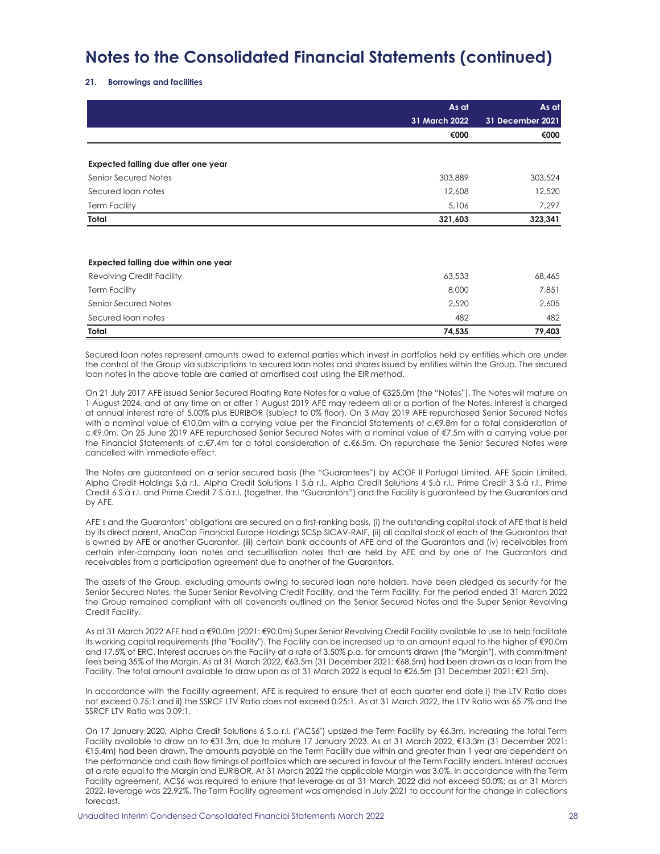### **21. Borrowings and facilities**

|                                      | As at         | As at            |
|--------------------------------------|---------------|------------------|
|                                      | 31 March 2022 | 31 December 2021 |
|                                      | €000          | €000             |
|                                      |               |                  |
| Expected falling due after one year  |               |                  |
| Senior Secured Notes                 | 303,889       | 303,524          |
| Secured loan notes                   | 12,608        | 12,520           |
| <b>Term Facility</b>                 | 5,106         | 7,297            |
| Total                                | 321,603       | 323,341          |
|                                      |               |                  |
| Expected falling due within one year |               |                  |
| <b>Revolving Credit Facility</b>     | 63,533        | 68,465           |
| <b>Term Facility</b>                 | 8,000         | 7,851            |
| Senior Secured Notes                 | 2,520         | 2,605            |
| Secured loan notes                   | 482           | 482              |
| Total                                | 74,535        | 79,403           |

Secured loan notes represent amounts owed to external parties which invest in portfolios held by entities which are under the control of the Group via subscriptions to secured loan notes and shares issued by entities within the Group. The secured loan notes in the above table are carried at amortised cost using the EIR method.

On 21 July 2017 AFE issued Senior Secured Floating Rate Notes for a value of €325.0m (the "Notes"). The Notes will mature on 1 August 2024, and at any time on or after 1 August 2019 AFE may redeem all or a portion of the Notes. Interest is charged at annual interest rate of 5.00% plus EURIBOR (subject to 0% floor). On 3 May 2019 AFE repurchased Senior Secured Notes with a nominal value of €10.0m with a carrying value per the Financial Statements of c.€9.8m for a total consideration of c.€9.0m. On 25 June 2019 AFE repurchased Senior Secured Notes with a nominal value of €7.5m with a carrying value per the Financial Statements of c.€7.4m for a total consideration of c.€6.5m. On repurchase the Senior Secured Notes were cancelled with immediate effect.

The Notes are guaranteed on a senior secured basis (the "Guarantees") by ACOF II Portugal Limited, AFE Spain Limited, Alpha Credit Holdings S.à r.l., Alpha Credit Solutions 1 S.à r.l., Alpha Credit Solutions 4 S.à r.l., Prime Credit 3 S.à r.l., Prime Credit 6 S.à r.l. and Prime Credit 7 S.à r.l. (together, the "Guarantors") and the Facility is guaranteed by the Guarantors and by AFE.

AFE's and the Guarantors' obligations are secured on a first-ranking basis, (i) the outstanding capital stock of AFE that is held by its direct parent, AnaCap Financial Europe Holdings SCSp SICAV-RAIF, (ii) all capital stock of each of the Guarantors that is owned by AFE or another Guarantor, (iii) certain bank accounts of AFE and of the Guarantors and (iv) receivables from certain inter-company loan notes and securitisation notes that are held by AFE and by one of the Guarantors and receivables from a participation agreement due to another of the Guarantors.

The assets of the Group, excluding amounts owing to secured loan note holders, have been pledged as security for the Senior Secured Notes, the Super Senior Revolving Credit Facility, and the Term Facility. For the period ended 31 March 2022 the Group remained compliant with all covenants outlined on the Senior Secured Notes and the Super Senior Revolving Credit Facility.

As at 31 March 2022 AFE had a €90.0m (2021: €90.0m) Super Senior Revolving Credit Facility available to use to help facilitate its working capital requirements (the "Facility"). The Facility can be increased up to an amount equal to the higher of €90.0m and 17.5% of ERC. Interest accrues on the Facility at a rate of 3.50% p.a. for amounts drawn (the "Margin"), with commitment fees being 35% of the Margin. As at 31 March 2022, €63.5m (31 December 2021: €68.5m) had been drawn as a loan from the Facility. The total amount available to draw upon as at 31 March 2022 is equal to €26.5m (31 December 2021: €21.5m).

In accordance with the Facility agreement, AFE is required to ensure that at each quarter end date i) the LTV Ratio does not exceed 0.75:1 and ii) the SSRCF LTV Ratio does not exceed 0.25:1. As at 31 March 2022, the LTV Ratio was 65.7% and the SSRCF LTV Ratio was 0.09:1.

On 17 January 2020, Alpha Credit Solutions 6 S.a r.l. ("ACS6") upsized the Term Facility by €6.3m, increasing the total Term Facility available to draw on to €31.3m, due to mature 17 January 2023. As at 31 March 2022, €13.3m (31 December 2021: €15.4m) had been drawn. The amounts payable on the Term Facility due within and greater than 1 year are dependent on the performance and cash flow timings of portfolios which are secured in favour of the Term Facility lenders. Interest accrues at a rate equal to the Margin and EURIBOR. At 31 March 2022 the applicable Margin was 3.0%. In accordance with the Term Facility agreement, ACS6 was required to ensure that leverage as at 31 March 2022 did not exceed 50.0%; as at 31 March 2022, leverage was 22.92%. The Term Facility agreement was amended in July 2021 to account for the change in collections forecast.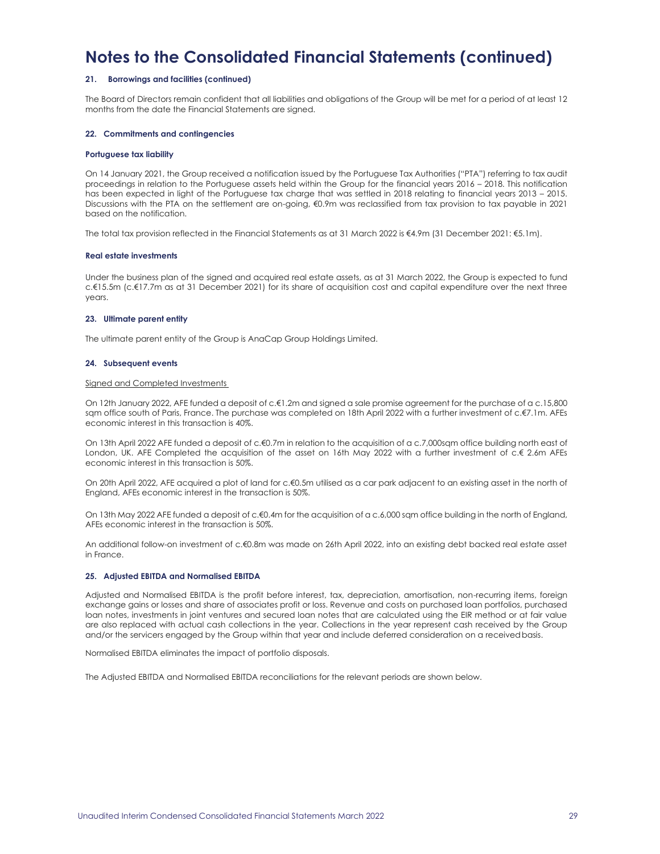### **21. Borrowings and facilities (continued)**

The Board of Directors remain confident that all liabilities and obligations of the Group will be met for a period of at least 12 months from the date the Financial Statements are signed.

### **22. Commitments and contingencies**

### **Portuguese tax liability**

On 14 January 2021, the Group received a notification issued by the Portuguese Tax Authorities ("PTA") referring to tax audit proceedings in relation to the Portuguese assets held within the Group for the financial years 2016 – 2018. This notification has been expected in light of the Portuguese tax charge that was settled in 2018 relating to financial years 2013 – 2015. Discussions with the PTA on the settlement are on-going, €0.9m was reclassified from tax provision to tax payable in 2021 based on the notification.

The total tax provision reflected in the Financial Statements as at 31 March 2022 is €4.9m (31 December 2021: €5.1m).

#### **Real estate investments**

Under the business plan of the signed and acquired real estate assets, as at 31 March 2022, the Group is expected to fund c.€15.5m (c.€17.7m as at 31 December 2021) for its share of acquisition cost and capital expenditure over the next three years.

### **23. Ultimate parent entity**

The ultimate parent entity of the Group is AnaCap Group Holdings Limited.

### **24. Subsequent events**

#### Signed and Completed Investments

On 12th January 2022, AFE funded a deposit of c.€1.2m and signed a sale promise agreement for the purchase of a c.15,800 sqm office south of Paris, France. The purchase was completed on 18th April 2022 with a further investment of c.€7.1m. AFEs economic interest in this transaction is 40%.

On 13th April 2022 AFE funded a deposit of c.€0.7m in relation to the acquisition of a c.7,000sqm office building north east of London, UK. AFE Completed the acquisition of the asset on 16th May 2022 with a further investment of c.€ 2.6m AFEs economic interest in this transaction is 50%.

On 20th April 2022, AFE acquired a plot of land for c.€0.5m utilised as a car park adjacent to an existing asset in the north of England, AFEs economic interest in the transaction is 50%.

On 13th May 2022 AFE funded a deposit of c.€0.4m for the acquisition of a c.6,000 sqm office building in the north of England, AFEs economic interest in the transaction is 50%.

An additional follow-on investment of c.€0.8m was made on 26th April 2022, into an existing debt backed real estate asset in France.

### **25. Adjusted EBITDA and Normalised EBITDA**

Adjusted and Normalised EBITDA is the profit before interest, tax, depreciation, amortisation, non-recurring items, foreign exchange gains or losses and share of associates profit or loss. Revenue and costs on purchased loan portfolios, purchased loan notes, investments in joint ventures and secured loan notes that are calculated using the EIR method or at fair value are also replaced with actual cash collections in the year. Collections in the year represent cash received by the Group and/or the servicers engaged by the Group within that year and include deferred consideration on a received basis.

Normalised EBITDA eliminates the impact of portfolio disposals.

The Adjusted EBITDA and Normalised EBITDA reconciliations for the relevant periods are shown below.